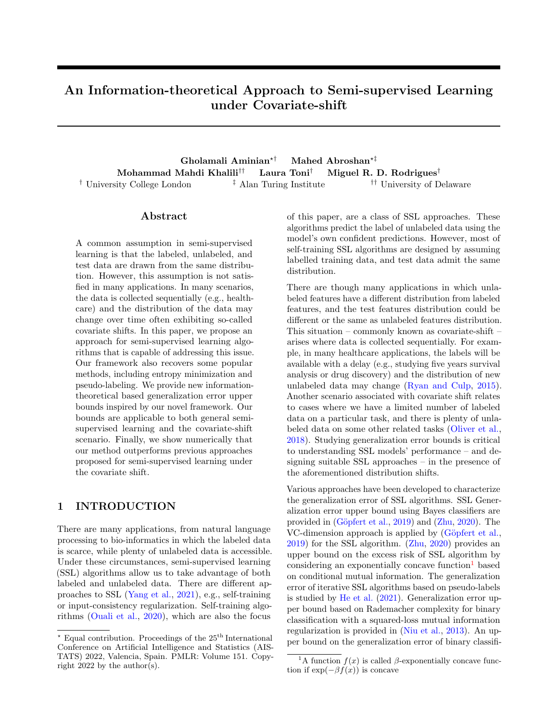## An Information-theoretical Approach to Semi-supervised Learning under Covariate-shift

Gholamali Aminian<sup>\*†</sup> Mahed Abroshan<sup>\*‡</sup> Mohammad Mahdi Khalili†† Laura Toni† Miguel R. D. Rodrigues† † University College London ‡ Alan Turing Institute †† University of Delaware

### Abstract

A common assumption in semi-supervised learning is that the labeled, unlabeled, and test data are drawn from the same distribution. However, this assumption is not satisfied in many applications. In many scenarios, the data is collected sequentially (e.g., healthcare) and the distribution of the data may change over time often exhibiting so-called covariate shifts. In this paper, we propose an approach for semi-supervised learning algorithms that is capable of addressing this issue. Our framework also recovers some popular methods, including entropy minimization and pseudo-labeling. We provide new informationtheoretical based generalization error upper bounds inspired by our novel framework. Our bounds are applicable to both general semisupervised learning and the covariate-shift scenario. Finally, we show numerically that our method outperforms previous approaches proposed for semi-supervised learning under the covariate shift.

## 1 INTRODUCTION

There are many applications, from natural language processing to bio-informatics in which the labeled data is scarce, while plenty of unlabeled data is accessible. Under these circumstances, semi-supervised learning (SSL) algorithms allow us to take advantage of both labeled and unlabeled data. There are different approaches to SSL [\(Yang et al.,](#page-10-0) [2021\)](#page-10-0), e.g., self-training or input-consistency regularization. Self-training algorithms [\(Ouali et al.,](#page-10-1) [2020\)](#page-10-1), which are also the focus of this paper, are a class of SSL approaches. These algorithms predict the label of unlabeled data using the model's own confident predictions. However, most of self-training SSL algorithms are designed by assuming labelled training data, and test data admit the same distribution.

There are though many applications in which unlabeled features have a different distribution from labeled features, and the test features distribution could be different or the same as unlabeled features distribution. This situation – commonly known as covariate-shift – arises where data is collected sequentially. For example, in many healthcare applications, the labels will be available with a delay (e.g., studying five years survival analysis or drug discovery) and the distribution of new unlabeled data may change [\(Ryan and Culp,](#page-10-2) [2015\)](#page-10-2). Another scenario associated with covariate shift relates to cases where we have a limited number of labeled data on a particular task, and there is plenty of unlabeled data on some other related tasks [\(Oliver et al.,](#page-10-3) [2018\)](#page-10-3). Studying generalization error bounds is critical to understanding SSL models' performance – and designing suitable SSL approaches – in the presence of the aforementioned distribution shifts.

Various approaches have been developed to characterize the generalization error of SSL algorithms. SSL Generalization error upper bound using Bayes classifiers are provided in [\(G¨opfert et al.,](#page-9-0) [2019\)](#page-9-0) and [\(Zhu,](#page-10-4) [2020\)](#page-10-4). The VC-dimension approach is applied by (Göpfert et al., [2019\)](#page-9-0) for the SSL algorithm. [\(Zhu,](#page-10-4) [2020\)](#page-10-4) provides an upper bound on the excess risk of SSL algorithm by considering an exponentially concave function<sup>[1](#page-0-0)</sup> based on conditional mutual information. The generalization error of iterative SSL algorithms based on pseudo-labels is studied by [He et al.](#page-9-1) [\(2021\)](#page-9-1). Generalization error upper bound based on Rademacher complexity for binary classification with a squared-loss mutual information regularization is provided in [\(Niu et al.,](#page-10-5) [2013\)](#page-10-5). An upper bound on the generalization error of binary classifi-

Equal contribution. Proceedings of the  $25<sup>th</sup>$  International Conference on Artificial Intelligence and Statistics (AIS-TATS) 2022, Valencia, Spain. PMLR: Volume 151. Copyright  $2022$  by the author(s).

<span id="page-0-0"></span><sup>&</sup>lt;sup>1</sup>A function  $f(x)$  is called  $\beta$ -exponentially concave function if  $\exp(-\beta f(x))$  is concave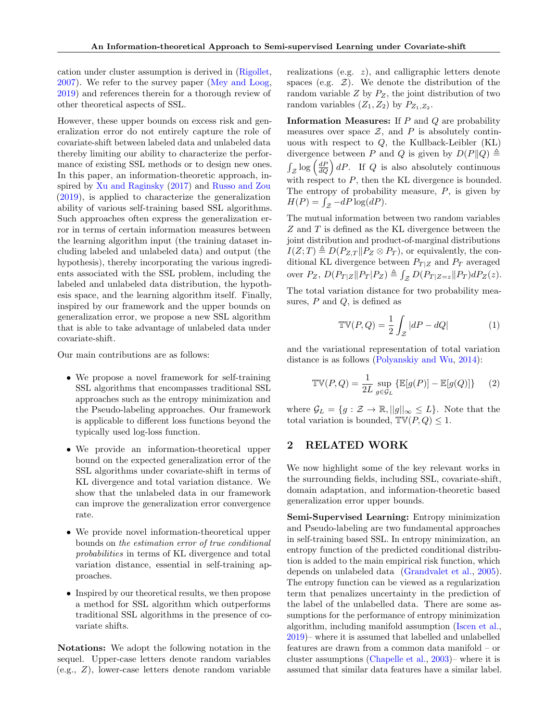cation under cluster assumption is derived in [\(Rigollet,](#page-10-6) [2007\)](#page-10-6). We refer to the survey paper [\(Mey and Loog,](#page-10-7) [2019\)](#page-10-7) and references therein for a thorough review of other theoretical aspects of SSL.

However, these upper bounds on excess risk and generalization error do not entirely capture the role of covariate-shift between labeled data and unlabeled data thereby limiting our ability to characterize the performance of existing SSL methods or to design new ones. In this paper, an information-theoretic approach, inspired by [Xu and Raginsky](#page-10-8) [\(2017\)](#page-10-8) and [Russo and Zou](#page-10-9) [\(2019\)](#page-10-9), is applied to characterize the generalization ability of various self-training based SSL algorithms. Such approaches often express the generalization error in terms of certain information measures between the learning algorithm input (the training dataset including labeled and unlabeled data) and output (the hypothesis), thereby incorporating the various ingredients associated with the SSL problem, including the labeled and unlabeled data distribution, the hypothesis space, and the learning algorithm itself. Finally, inspired by our framework and the upper bounds on generalization error, we propose a new SSL algorithm that is able to take advantage of unlabeled data under covariate-shift.

Our main contributions are as follows:

- We propose a novel framework for self-training SSL algorithms that encompasses traditional SSL approaches such as the entropy minimization and the Pseudo-labeling approaches. Our framework is applicable to different loss functions beyond the typically used log-loss function.
- We provide an information-theoretical upper bound on the expected generalization error of the SSL algorithms under covariate-shift in terms of KL divergence and total variation distance. We show that the unlabeled data in our framework can improve the generalization error convergence rate.
- We provide novel information-theoretical upper bounds on the estimation error of true conditional probabilities in terms of KL divergence and total variation distance, essential in self-training approaches.
- Inspired by our theoretical results, we then propose a method for SSL algorithm which outperforms traditional SSL algorithms in the presence of covariate shifts.

Notations: We adopt the following notation in the sequel. Upper-case letters denote random variables (e.g., Z), lower-case letters denote random variable realizations (e.g. z), and calligraphic letters denote spaces (e.g.  $\mathcal{Z}$ ). We denote the distribution of the random variable  $Z$  by  $P_Z$ , the joint distribution of two random variables  $(Z_1, Z_2)$  by  $P_{Z_1, Z_2}$ .

**Information Measures:** If  $P$  and  $Q$  are probability measures over space  $\mathcal{Z}$ , and P is absolutely continuous with respect to  $Q$ , the Kullback-Leibler (KL) divergence between P and Q is given by  $D(P||Q) \triangleq$  $\int_{\mathcal{Z}} \log \left( \frac{dP}{dQ} \right) dP$ . If Q is also absolutely continuous with respect to  $P$ , then the KL divergence is bounded. The entropy of probability measure,  $P$ , is given by  $H(P) = \int_{\mathcal{Z}} -dP \log(dP).$ 

The mutual information between two random variables Z and T is defined as the KL divergence between the joint distribution and product-of-marginal distributions  $I(Z;T) \triangleq D(P_{Z,T} || P_Z \otimes P_T)$ , or equivalently, the conditional KL divergence between  $P_{T|Z}$  and  $P_T$  averaged over  $P_Z$ ,  $D(P_{T|Z} || P_T | P_Z) \triangleq \int_{Z} D(P_{T|Z=z} || P_T) dP_Z(z)$ .

The total variation distance for two probability measures,  $P$  and  $Q$ , is defined as

$$
\mathbb{TV}(P,Q) = \frac{1}{2} \int_{\mathcal{Z}} |dP - dQ| \tag{1}
$$

and the variational representation of total variation distance is as follows [\(Polyanskiy and Wu,](#page-10-10) [2014\)](#page-10-10):

<span id="page-1-0"></span>
$$
\mathbb{TV}(P,Q) = \frac{1}{2L} \sup_{g \in \mathcal{G}_L} \left\{ \mathbb{E}[g(P)] - \mathbb{E}[g(Q)] \right\} \tag{2}
$$

where  $\mathcal{G}_L = \{g : \mathcal{Z} \to \mathbb{R}, ||g||_{\infty} \leq L\}$ . Note that the total variation is bounded,  $\mathbb{TV}(P,Q) \leq 1$ .

### 2 RELATED WORK

We now highlight some of the key relevant works in the surrounding fields, including SSL, covariate-shift, domain adaptation, and information-theoretic based generalization error upper bounds.

Semi-Supervised Learning: Entropy minimization and Pseudo-labeling are two fundamental approaches in self-training based SSL. In entropy minimization, an entropy function of the predicted conditional distribution is added to the main empirical risk function, which depends on unlabeled data [\(Grandvalet et al.,](#page-9-2) [2005\)](#page-9-2). The entropy function can be viewed as a regularization term that penalizes uncertainty in the prediction of the label of the unlabelled data. There are some assumptions for the performance of entropy minimization algorithm, including manifold assumption [\(Iscen et al.,](#page-9-3) [2019\)](#page-9-3)– where it is assumed that labelled and unlabelled features are drawn from a common data manifold – or cluster assumptions [\(Chapelle et al.,](#page-9-4) [2003\)](#page-9-4)– where it is assumed that similar data features have a similar label.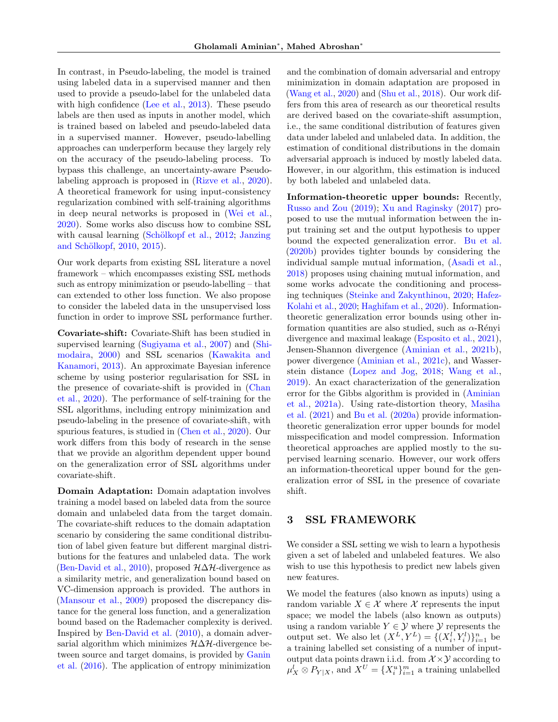In contrast, in Pseudo-labeling, the model is trained using labeled data in a supervised manner and then used to provide a pseudo-label for the unlabeled data with high confidence [\(Lee et al.,](#page-9-5) [2013\)](#page-9-5). These pseudo labels are then used as inputs in another model, which is trained based on labeled and pseudo-labeled data in a supervised manner. However, pseudo-labelling approaches can underperform because they largely rely on the accuracy of the pseudo-labeling process. To bypass this challenge, an uncertainty-aware Pseudolabeling approach is proposed in [\(Rizve et al.,](#page-10-11) [2020\)](#page-10-11). A theoretical framework for using input-consistency regularization combined with self-training algorithms in deep neural networks is proposed in [\(Wei et al.,](#page-10-12) [2020\)](#page-10-12). Some works also discuss how to combine SSL with causal learning  $(Schölkopf et al., 2012; Janzing)$  $(Schölkopf et al., 2012; Janzing)$  $(Schölkopf et al., 2012; Janzing)$  $(Schölkopf et al., 2012; Janzing)$  $(Schölkopf et al., 2012; Janzing)$ and Schölkopf, [2010,](#page-9-6) [2015\)](#page-9-7).

Our work departs from existing SSL literature a novel framework – which encompasses existing SSL methods such as entropy minimization or pseudo-labelling – that can extended to other loss function. We also propose to consider the labeled data in the unsupervised loss function in order to improve SSL performance further.

Covariate-shift: Covariate-Shift has been studied in supervised learning [\(Sugiyama et al.,](#page-10-14) [2007\)](#page-10-14) and [\(Shi](#page-10-15)[modaira,](#page-10-15) [2000\)](#page-10-15) and SSL scenarios [\(Kawakita and](#page-9-8) [Kanamori,](#page-9-8) [2013\)](#page-9-8). An approximate Bayesian inference scheme by using posterior regularisation for SSL in the presence of covariate-shift is provided in [\(Chan](#page-9-9) [et al.,](#page-9-9) [2020\)](#page-9-9). The performance of self-training for the SSL algorithms, including entropy minimization and pseudo-labeling in the presence of covariate-shift, with spurious features, is studied in [\(Chen et al.,](#page-9-10) [2020\)](#page-9-10). Our work differs from this body of research in the sense that we provide an algorithm dependent upper bound on the generalization error of SSL algorithms under covariate-shift.

Domain Adaptation: Domain adaptation involves training a model based on labeled data from the source domain and unlabeled data from the target domain. The covariate-shift reduces to the domain adaptation scenario by considering the same conditional distribution of label given feature but different marginal distributions for the features and unlabeled data. The work [\(Ben-David et al.,](#page-8-0) [2010\)](#page-8-0), proposed  $H\Delta H$ -divergence as a similarity metric, and generalization bound based on VC-dimension approach is provided. The authors in [\(Mansour et al.,](#page-9-11) [2009\)](#page-9-11) proposed the discrepancy distance for the general loss function, and a generalization bound based on the Rademacher complexity is derived. Inspired by [Ben-David et al.](#page-8-0) [\(2010\)](#page-8-0), a domain adversarial algorithm which minimizes  $H\Delta H$ -divergence between source and target domains, is provided by [Ganin](#page-9-12) [et al.](#page-9-12) [\(2016\)](#page-9-12). The application of entropy minimization and the combination of domain adversarial and entropy minimization in domain adaptation are proposed in [\(Wang et al.,](#page-10-16) [2020\)](#page-10-16) and [\(Shu et al.,](#page-10-17) [2018\)](#page-10-17). Our work differs from this area of research as our theoretical results are derived based on the covariate-shift assumption, i.e., the same conditional distribution of features given data under labeled and unlabeled data. In addition, the estimation of conditional distributions in the domain adversarial approach is induced by mostly labeled data. However, in our algorithm, this estimation is induced by both labeled and unlabeled data.

Information-theoretic upper bounds: Recently, [Russo and Zou](#page-10-9) [\(2019\)](#page-10-9); [Xu and Raginsky](#page-10-8) [\(2017\)](#page-10-8) proposed to use the mutual information between the input training set and the output hypothesis to upper bound the expected generalization error. [Bu et al.](#page-9-13) [\(2020b\)](#page-9-13) provides tighter bounds by considering the individual sample mutual information, [\(Asadi et al.,](#page-8-1) [2018\)](#page-8-1) proposes using chaining mutual information, and some works advocate the conditioning and processing techniques [\(Steinke and Zakynthinou,](#page-10-18) [2020;](#page-10-18) [Hafez-](#page-9-14)[Kolahi et al.,](#page-9-14) [2020;](#page-9-14) [Haghifam et al.,](#page-9-15) [2020\)](#page-9-15). Informationtheoretic generalization error bounds using other information quantities are also studied, such as  $\alpha$ -Rényi divergence and maximal leakage [\(Esposito et al.,](#page-9-16) [2021\)](#page-9-16), Jensen-Shannon divergence [\(Aminian et al.,](#page-8-2) [2021b\)](#page-8-2), power divergence [\(Aminian et al.,](#page-8-3) [2021c\)](#page-8-3), and Wasserstein distance [\(Lopez and Jog,](#page-9-17) [2018;](#page-9-17) [Wang et al.,](#page-10-19) [2019\)](#page-10-19). An exact characterization of the generalization error for the Gibbs algorithm is provided in [\(Aminian](#page-8-4) [et al.,](#page-8-4) [2021a\)](#page-8-4). Using rate-distortion theory, [Masiha](#page-9-18) [et al.](#page-9-18) [\(2021\)](#page-9-18) and [Bu et al.](#page-9-19) [\(2020a\)](#page-9-19) provide informationtheoretic generalization error upper bounds for model misspecification and model compression. Information theoretical approaches are applied mostly to the supervised learning scenario. However, our work offers an information-theoretical upper bound for the generalization error of SSL in the presence of covariate shift.

### 3 SSL FRAMEWORK

We consider a SSL setting we wish to learn a hypothesis given a set of labeled and unlabeled features. We also wish to use this hypothesis to predict new labels given new features.

We model the features (also known as inputs) using a random variable  $X \in \mathcal{X}$  where  $\mathcal{X}$  represents the input space; we model the labels (also known as outputs) using a random variable  $Y \in \mathcal{Y}$  where  $\mathcal{Y}$  represents the output set. We also let  $(X^L, Y^L) = \{(X_i^l, Y_i^l)\}_{i=1}^n$  be a training labelled set consisting of a number of inputoutput data points drawn i.i.d. from  $\mathcal{X} \times \mathcal{Y}$  according to  $\mu_X^l \otimes P_{Y|X}$ , and  $X^U = \{X_i^u\}_{i=1}^m$  a training unlabelled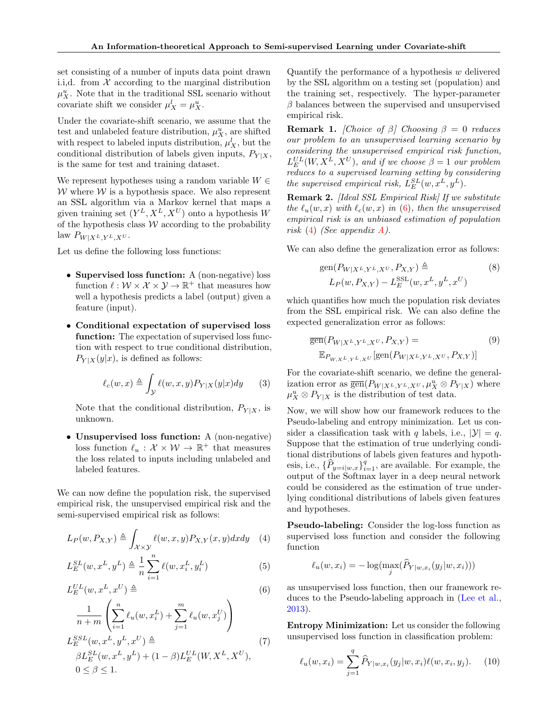set consisting of a number of inputs data point drawn i.i,d. from  $X$  according to the marginal distribution  $\mu_X^u$ . Note that in the traditional SSL scenario without covariate shift we consider  $\mu_X^l = \mu_X^u$ .

Under the covariate-shift scenario, we assume that the test and unlabeled feature distribution,  $\mu_X^u$ , are shifted with respect to labeled inputs distribution,  $\mu_X^l$ , but the conditional distribution of labels given inputs,  $P_{Y|X}$ , is the same for test and training dataset.

We represent hypotheses using a random variable  $W \in$ W where  $W$  is a hypothesis space. We also represent an SSL algorithm via a Markov kernel that maps a given training set  $(Y^L, X^L, X^U)$  onto a hypothesis W of the hypothesis class  $W$  according to the probability law  $P_{W|X^L,Y^L,X^U}$ .

Let us define the following loss functions:

- Supervised loss function: A (non-negative) loss function  $\ell : \mathcal{W} \times \mathcal{X} \times \mathcal{Y} \to \mathbb{R}^+$  that measures how well a hypothesis predicts a label (output) given a feature (input).
- Conditional expectation of supervised loss function: The expectation of supervised loss function with respect to true conditional distribution,  $P_{Y|X}(y|x)$ , is defined as follows:

$$
\ell_c(w, x) \triangleq \int_{\mathcal{Y}} \ell(w, x, y) P_{Y|X}(y|x) dy \qquad (3)
$$

Note that the conditional distribution,  $P_{Y|X}$ , is unknown.

• Unsupervised loss function: A (non-negative) loss function  $\ell_u : \mathcal{X} \times \mathcal{W} \to \mathbb{R}^+$  that measures the loss related to inputs including unlabeled and labeled features.

We can now define the population risk, the supervised empirical risk, the unsupervised empirical risk and the semi-supervised empirical risk as follows:

$$
L_P(w, P_{X,Y}) \triangleq \int_{\mathcal{X} \times \mathcal{Y}} \ell(w, x, y) P_{X,Y}(x, y) dx dy \quad (4)
$$

$$
L_{E}^{SL}(w, x^{L}, y^{L}) \triangleq \frac{1}{n} \sum_{i=1}^{n} \ell(w, x_{i}^{L}, y_{i}^{L})
$$
 (5)

$$
L_E^{UL}(w, x^L, x^U) \triangleq \tag{6}
$$

$$
\frac{1}{n+m} \left( \sum_{i=1}^{n} \ell_u(w, x_i^L) + \sum_{j=1}^{m} \ell_u(w, x_j^U) \right)
$$
  

$$
L_E^{SSL}(w, x^L, y^L, x^U) \triangleq
$$
  

$$
\beta L_E^{SL}(w, x^L, y^L) + (1 - \beta) L_E^{UL}(W, X^L, X^U),
$$
  

$$
0 \le \beta \le 1.
$$
 (7)

Quantify the performance of a hypothesis  $w$  delivered by the SSL algorithm on a testing set (population) and the training set, respectively. The hyper-parameter  $\beta$  balances between the supervised and unsupervised empirical risk.

**Remark 1.** [Choice of  $\beta$ ] Choosing  $\beta = 0$  reduces our problem to an unsupervised learning scenario by considering the unsupervised empirical risk function,  $L_E^{UL}(W, X^L, X^U)$ , and if we choose  $\beta = 1$  our problem reduces to a supervised learning setting by considering the supervised empirical risk,  $L_E^{SL}(w, x^L, y^L)$ .

<span id="page-3-3"></span>Remark 2. [Ideal SSL Empirical Risk] If we substitute the  $\ell_u(w, x)$  with  $\ell_c(w, x)$  in [\(6\)](#page-3-0), then the unsupervised empirical risk is an unbiased estimation of population risk [\(4\)](#page-3-1) (See appendix [A\)](#page-11-0).

We can also define the generalization error as follows:

$$
gen(P_{W|X^L,Y^L,X^U}, P_{X,Y}) \triangleq (8)
$$
  

$$
L_P(w, P_{X,Y}) - L_E^{SSL}(w, x^L, y^L, x^U)
$$

which quantifies how much the population risk deviates from the SSL empirical risk. We can also define the expected generalization error as follows:

$$
\overline{\text{gen}}(P_{W|X^L,Y^L,X^U},P_{X,Y}) =
$$
\n
$$
\mathbb{E}_{P_{W,X^L,Y^L,X^U}}[\text{gen}(P_{W|X^L,Y^L,X^U},P_{X,Y})]
$$
\n(9)

For the covariate-shift scenario, we define the generalization error as  $\overline{\text{gen}}(P_{W|X^L,Y^L,X^U},\mu_X^u \otimes P_{Y|X})$  where  $\mu_X^u \otimes P_{Y|X}$  is the distribution of test data.

Now, we will show how our framework reduces to the Pseudo-labeling and entropy minimization. Let us consider a classification task with q labels, i.e.,  $|\mathcal{Y}| = q$ . Suppose that the estimation of true underlying conditional distributions of labels given features and hypothesis, i.e.,  $\{\widehat{P}_{y=i|w,x}\}_{i=1}^q$ , are available. For example, the output of the Softmax layer in a deep neural network could be considered as the estimation of true underlying conditional distributions of labels given features and hypotheses.

<span id="page-3-1"></span>Pseudo-labeling: Consider the log-loss function as supervised loss function and consider the following function

$$
\ell_u(w, x_i) = -\log(\max_j(\widehat{P}_{Y|w, x_i}(y_j|w, x_i)))
$$

<span id="page-3-0"></span>as unsupervised loss function, then our framework reduces to the Pseudo-labeling approach in [\(Lee et al.,](#page-9-5) [2013\)](#page-9-5).

<span id="page-3-4"></span>Entropy Minimization: Let us consider the following unsupervised loss function in classification problem:

<span id="page-3-2"></span>
$$
\ell_u(w, x_i) = \sum_{j=1}^q \widehat{P}_{Y|w, x_i}(y_j|w, x_i) \ell(w, x_i, y_j). \tag{10}
$$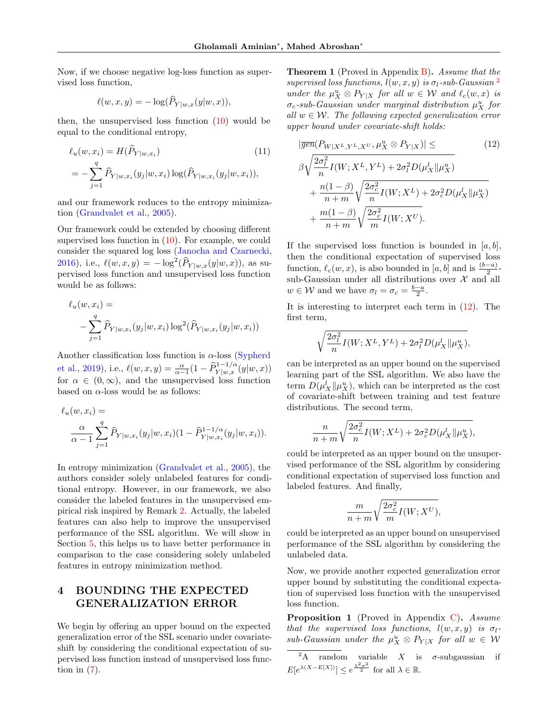Now, if we choose negative log-loss function as supervised loss function,

$$
\ell(w, x, y) = -\log(\widehat{P}_{Y|w,x}(y|w, x)),
$$

then, the unsupervised loss function  $(10)$  would be equal to the conditional entropy,

$$
\ell_u(w, x_i) = H(P_{Y|w, x_i})
$$
\n
$$
= -\sum_{j=1}^q \widehat{P}_{Y|w, x_i}(y_j|w, x_i) \log(\widehat{P}_{Y|w, x_i}(y_j|w, x_i)),
$$
\n(11)

and our framework reduces to the entropy minimization [\(Grandvalet et al.,](#page-9-2) [2005\)](#page-9-2).

Our framework could be extended by choosing different supervised loss function in  $(10)$ . For example, we could consider the squared log loss [\(Janocha and Czarnecki,](#page-9-20) [2016\)](#page-9-20), i.e.,  $\ell(w, x, y) = -\log^2(\widehat{P}_{Y|w,x}(y|w, x))$ , as supervised loss function and unsupervised loss function would be as follows:

$$
\ell_u(w, x_i) =
$$
  
-  $\sum_{j=1}^q \hat{P}_{Y|w, x_i}(y_j|w, x_i) \log^2(\hat{P}_{Y|w, x_i}(y_j|w, x_i))$ 

Another classification loss function is  $\alpha$ -loss [\(Sypherd](#page-10-20) [et al.,](#page-10-20) [2019\)](#page-10-20), i.e.,  $\ell(w, x, y) = \frac{\alpha}{\alpha - 1} (1 - \widehat{P}_{Y|w, x}^{1 - 1/\alpha}(y|w, x))$ for  $\alpha \in (0,\infty)$ , and the unsupervised loss function based on  $\alpha$ -loss would be as follows:

$$
\ell_u(w, x_i) = \frac{\alpha}{\alpha - 1} \sum_{j=1}^q \widehat{P}_{Y|w, x_i}(y_j|w, x_i) (1 - \widehat{P}_{Y|w, x_i}^{1 - 1/\alpha}(y_j|w, x_i)).
$$

In entropy minimization [\(Grandvalet et al.,](#page-9-2) [2005\)](#page-9-2), the authors consider solely unlabeled features for conditional entropy. However, in our framework, we also consider the labeled features in the unsupervised empirical risk inspired by Remark [2.](#page-3-3) Actually, the labeled features can also help to improve the unsupervised performance of the SSL algorithm. We will show in Section [5,](#page-6-0) this helps us to have better performance in comparison to the case considering solely unlabeled features in entropy minimization method.

## 4 BOUNDING THE EXPECTED GENERALIZATION ERROR

We begin by offering an upper bound on the expected generalization error of the SSL scenario under covariateshift by considering the conditional expectation of supervised loss function instead of unsupervised loss function in  $(7)$ .

<span id="page-4-3"></span>**Theorem 1** (Proved in Appendix  $\bf{B}$ ). Assume that the supervised loss functions,  $l(w, x, y)$  is  $\sigma_l$ -sub-Gaussian <sup>[2](#page-4-0)</sup> under the  $\mu_X^u \otimes P_{Y|X}$  for all  $w \in \mathcal{W}$  and  $\ell_c(w, x)$  is  $\sigma_c$ -sub-Gaussian under marginal distribution  $\mu_X^u$  for all  $w \in \mathcal{W}$ . The following expected generalization error upper bound under covariate-shift holds:

<span id="page-4-4"></span><span id="page-4-1"></span>
$$
|\overline{gen}(P_{W|X^L,Y^L,X^U},\mu_X^u \otimes P_{Y|X})| \leq (12)
$$
  
\n
$$
\beta \sqrt{\frac{2\sigma_l^2}{n} I(W;X^L,Y^L) + 2\sigma_l^2 D(\mu_X^l \| \mu_X^u)}
$$
  
\n
$$
+ \frac{n(1-\beta)}{n+m} \sqrt{\frac{2\sigma_c^2}{n} I(W;X^L) + 2\sigma_c^2 D(\mu_X^l \| \mu_X^u)}
$$
  
\n
$$
+ \frac{m(1-\beta)}{n+m} \sqrt{\frac{2\sigma_c^2}{m} I(W;X^U)}.
$$
 (12)

If the supervised loss function is bounded in  $[a, b]$ , then the conditional expectation of supervised loss function,  $\ell_c(w, x)$ , is also bounded in  $[a, b]$  and is  $\frac{(b-a)}{2}$ sub-Gaussian under all distributions over  $\mathcal X$  and all  $w \in \mathcal{W}$  and we have  $\sigma_l = \sigma_c = \frac{b-a}{2}$ .

It is interesting to interpret each term in [\(12\)](#page-4-1). The first term,

$$
\sqrt{\frac{2\sigma_l^2}{n}}I(W;X^L,Y^L) + 2\sigma_l^2 D(\mu_X^l \| \mu_X^u),
$$

can be interpreted as an upper bound on the supervised learning part of the SSL algorithm. We also have the term  $D(\mu_X^l \| \mu_X^u)$ , which can be interpreted as the cost of covariate-shift between training and test feature distributions. The second term,

$$
\frac{n}{n+m}\sqrt{\frac{2\sigma_c^2}{n}}I(W;X^L) + 2\sigma_c^2D(\mu_X^l\|\mu_X^u),
$$

could be interpreted as an upper bound on the unsupervised performance of the SSL algorithm by considering conditional expectation of supervised loss function and labeled features. And finally,

$$
\frac{m}{n+m}\sqrt{\frac{2\sigma_c^2}{m}I(W;X^U)},
$$

could be interpreted as an upper bound on unsupervised performance of the SSL algorithm by considering the unlabeled data.

Now, we provide another expected generalization error upper bound by substituting the conditional expectation of supervised loss function with the unsupervised loss function.

<span id="page-4-2"></span>Proposition 1 (Proved in Appendix [C\)](#page-12-0). Assume that the supervised loss functions,  $l(w, x, y)$  is  $\sigma_l$  $sub-Gaussian$  under the  $\mu_X^u \otimes P_{Y|X}$  for all  $w \in W$ 

<span id="page-4-0"></span><sup>&</sup>lt;sup>2</sup>A random variable X is  $\sigma$ -subgaussian if  $E[e^{\lambda(X-E[X])}] \leq e^{\frac{\lambda^2 \sigma^2}{2}}$  for all  $\lambda \in \mathbb{R}$ .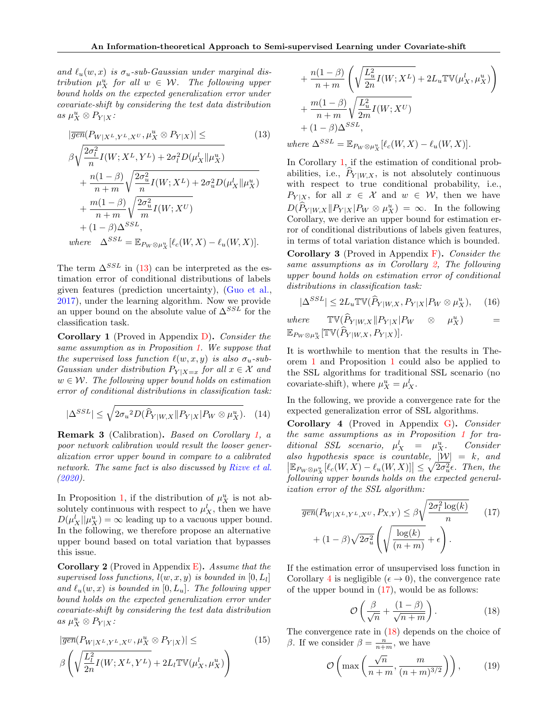and  $\ell_u(w, x)$  is  $\sigma_u$ -sub-Gaussian under marginal distribution  $\mu_X^u$  for all  $w \in W$ . The following upper bound holds on the expected generalization error under covariate-shift by considering the test data distribution as  $\mu_X^u \otimes P_{Y|X}$ :

$$
|\overline{gen}(P_{W|X^L,Y^L,X^U},\mu_X^u \otimes P_{Y|X})| \leq (13)
$$
  
\n
$$
\beta \sqrt{\frac{2\sigma_l^2}{n} I(W;X^L,Y^L) + 2\sigma_l^2 D(\mu_X^l \| \mu_X^u)}
$$
  
\n
$$
+ \frac{n(1-\beta)}{n+m} \sqrt{\frac{2\sigma_u^2}{n} I(W;X^L) + 2\sigma_u^2 D(\mu_X^l \| \mu_X^u)}
$$
  
\n
$$
+ \frac{m(1-\beta)}{n+m} \sqrt{\frac{2\sigma_u^2}{m} I(W;X^U)}
$$
  
\n
$$
+ (1-\beta) \Delta^{SSL},
$$
  
\nwhere  $\Delta^{SSL} = \mathbb{E}_{P_W \otimes \mu_X^u} [\ell_c(W,X) - \ell_u(W,X)].$ 

The term  $\Delta^{SSL}$  in [\(13\)](#page-5-0) can be interpreted as the estimation error of conditional distributions of labels given features (prediction uncertainty), [\(Guo et al.,](#page-9-21) [2017\)](#page-9-21), under the learning algorithm. Now we provide an upper bound on the absolute value of  $\Delta^{SSL}$  for the classification task.

<span id="page-5-1"></span>**Corollary 1** (Proved in Appendix  $D$ ). Consider the same assumption as in Proposition [1.](#page-4-2) We suppose that the supervised loss function  $\ell(w, x, y)$  is also  $\sigma_u$ -sub-Gaussian under distribution  $P_{Y|X=x}$  for all  $x \in \mathcal{X}$  and  $w \in \mathcal{W}$ . The following upper bound holds on estimation error of conditional distributions in classification task:

$$
|\Delta^{SSL}| \leq \sqrt{2\sigma_u^2 D(\hat{P}_{Y|W,X} || P_{Y|X} || P_W \otimes \mu_X^u)}.
$$
 (14)

Remark 3 (Calibration). Based on Corollary [1,](#page-5-1) a poor network calibration would result the looser generalization error upper bound in compare to a calibrated network. The same fact is also discussed by [Rizve et al.](#page-10-11) [\(2020\)](#page-10-11).

In Proposition [1,](#page-4-2) if the distribution of  $\mu_X^u$  is not absolutely continuous with respect to  $\mu_X^l$ , then we have  $D(\mu_X^l||\mu_X^u) = \infty$  leading up to a vacuous upper bound. In the following, we therefore propose an alternative upper bound based on total variation that bypasses this issue.

<span id="page-5-2"></span>**Corollary 2** (Proved in Appendix  $E$ ). Assume that the supervised loss functions,  $l(w, x, y)$  is bounded in  $[0, L_l]$ and  $\ell_u(w, x)$  is bounded in  $[0, L_u]$ . The following upper bound holds on the expected generalization error under covariate-shift by considering the test data distribution as  $\mu_X^u \otimes P_{Y|X}$ :

$$
|\overline{gen}(P_{W|X^L,Y^L,X^U},\mu_X^u \otimes P_{Y|X})| \leq
$$
\n
$$
\beta\left(\sqrt{\frac{L_I^2}{2n}}I(W;X^L,Y^L) + 2L_I\mathbb{TV}(\mu_X^l,\mu_X^u)\right)
$$
\n(15)

+ 
$$
\frac{n(1-\beta)}{n+m} \left( \sqrt{\frac{L_u^2}{2n} I(W; X^L)} + 2L_u \mathbb{TV}(\mu_X^l, \mu_X^u) \right) + \frac{m(1-\beta)}{n+m} \sqrt{\frac{L_u^2}{2m} I(W; X^U)} + (1-\beta) \Delta^{SSL},
$$
  
where  $\Delta^{SSL} = \mathbb{E}_{P_W \otimes \mu_X^u} [\ell_c(W, X) - \ell_u(W, X)].$ 

<span id="page-5-0"></span>In Corollary [1,](#page-5-1) if the estimation of conditional probabilities, i.e.,  $P_{Y|W,X}$ , is not absolutely continuous with respect to true conditional probability, i.e.,  $P_{Y|X}$ , for all  $x \in \mathcal{X}$  and  $w \in \mathcal{W}$ , then we have  $D(\widehat{P}_{Y|W,X} || P_{Y|X} | P_W \otimes \mu_X^u) = \infty$ . In the following Corollary, we derive an upper bound for estimation error of conditional distributions of labels given features, in terms of total variation distance which is bounded.

<span id="page-5-6"></span>Corollary 3 (Proved in Appendix [F\)](#page-14-0). Consider the same assumptions as in Corollary [2,](#page-5-2) The following upper bound holds on estimation error of conditional distributions in classification task:

$$
|\Delta^{SSL}| \le 2L_u \mathbb{TV}(\widehat{P}_{Y|W,X}, P_{Y|X}| P_W \otimes \mu_X^u), \quad (16)
$$

where  $\mathbb{T}\mathbb{V}(\widehat{P}_{Y|W,X}||P_{Y|X}|P_W \otimes \mu)$  $\binom{u}{X}$  =  $\mathbb{E}_{P_W \otimes \mu_X^u}[\mathbb{TV}(\widehat{P}_{Y | W, X}, P_{Y | X})].$ 

It is worthwhile to mention that the results in Theorem [1](#page-4-3) and Proposition [1](#page-4-2) could also be applied to the SSL algorithms for traditional SSL scenario (no covariate-shift), where  $\mu_X^u = \mu_X^l$ .

In the following, we provide a convergence rate for the expected generalization error of SSL algorithms.

<span id="page-5-3"></span>Corollary 4 (Proved in Appendix [G\)](#page-15-0). Consider the same assumptions as in Proposition [1](#page-4-2) for traditional SSL scenario,  $\mu_X^l = \mu_X^u$ <sup>X</sup>. Consider also hypothesis space is countable,  $|W| = k$ , and  $\left|\mathbb{E}_{P_W \otimes \mu^u_X}[\ell_c(W, X) - \ell_u(W, X)]\right| \leq \sqrt{2\sigma_u^2} \epsilon$ . Then, the following upper bounds holds on the expected generalization error of the SSL algorithm:

$$
\overline{gen}(P_{W|X^L,Y^L,X^U},P_{X,Y}) \leq \beta \sqrt{\frac{2\sigma_l^2 \log(k)}{n}} \qquad (17)
$$

$$
+ (1-\beta)\sqrt{2\sigma_u^2} \left(\sqrt{\frac{\log(k)}{(n+m)}} + \epsilon\right).
$$

If the estimation error of unsupervised loss function in Corollary [4](#page-5-3) is negligible ( $\epsilon \to 0$ ), the convergence rate of the upper bound in  $(17)$ , would be as follows:

<span id="page-5-5"></span><span id="page-5-4"></span>
$$
\mathcal{O}\left(\frac{\beta}{\sqrt{n}} + \frac{(1-\beta)}{\sqrt{n+m}}\right). \tag{18}
$$

The convergence rate in [\(18\)](#page-5-5) depends on the choice of β. If we consider  $β = \frac{n}{n+m}$ , we have

$$
\mathcal{O}\left(\max\left(\frac{\sqrt{n}}{n+m}, \frac{m}{(n+m)^{3/2}}\right)\right),\qquad(19)
$$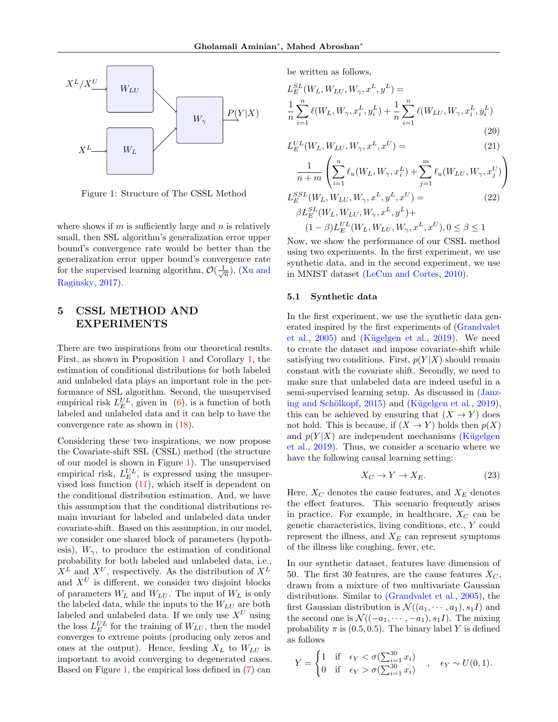<span id="page-6-1"></span>

Figure 1: Structure of The CSSL Method

where shows if  $m$  is sufficiently large and  $n$  is relatively small, then SSL algorithm's generalization error upper bound's convergence rate would be better than the generalization error upper bound's convergence rate for the supervised learning algorithm,  $\mathcal{O}(\frac{1}{\sqrt{n}})$ , [\(Xu and](#page-10-8) [Raginsky,](#page-10-8) [2017\)](#page-10-8).

## <span id="page-6-0"></span>5 CSSL METHOD AND EXPERIMENTS

There are two inspirations from our theoretical results. First, as shown in Proposition [1](#page-4-2) and Corollary [1,](#page-5-1) the estimation of conditional distributions for both labeled and unlabeled data plays an important role in the performance of SSL algorithm. Second, the unsupervised empirical risk  $L_E^{UL}$ , given in [\(6\)](#page-3-0), is a function of both labeled and unlabeled data and it can help to have the convergence rate as shown in [\(18\)](#page-5-5).

Considering these two inspirations, we now propose the Covariate-shift SSL (CSSL) method (the structure of our model is shown in Figure [1\)](#page-6-1). The unsupervised empirical risk,  $L_E^{UL}$ , is expressed using the unsupervised loss function [\(11\)](#page-4-4), which itself is dependent on the conditional distribution estimation. And, we have this assumption that the conditional distributions remain invariant for labeled and unlabeled data under covariate-shift. Based on this assumption, in our model, we consider one shared block of parameters (hypothesis),  $W_{\gamma}$ , to produce the estimation of conditional probability for both labeled and unlabeled data, i.e.,  $X^L$  and  $X^U$ , respectively. As the distribution of  $X^L$ and  $X^U$  is different, we consider two disjoint blocks of parameters  $W_L$  and  $W_{LU}$ . The input of  $W_L$  is only the labeled data, while the inputs to the  $W_{LI}$  are both labeled and unlabeled data. If we only use  $X^U$  using the loss  $L_E^{UL}$  for the training of  $W_{LU}$ , then the model converges to extreme points (producing only zeros and ones at the output). Hence, feeding  $X_L$  to  $W_{LU}$  is important to avoid converging to degenerated cases. Based on Figure [1,](#page-6-1) the empirical loss defined in [\(7\)](#page-3-4) can

be written as follows,

$$
L_E^{SL}(W_L, W_{LU}, W_{\gamma}, x^L, y^L) =
$$
  
\n
$$
\frac{1}{n} \sum_{i=1}^n \ell(W_L, W_{\gamma}, x_i^L, y_i^L) + \frac{1}{n} \sum_{i=1}^n \ell(W_{LU}, W_{\gamma}, x_i^L, y_i^L)
$$
\n(20)

$$
L_E^{UL}(W_L, W_{LU}, W_{\gamma}, x^L, x^U) = \t\t(21)
$$

$$
\frac{1}{n+m} \left( \sum_{i=1}^{n} \ell_u(W_L, W_{\gamma}, x_i^L) + \sum_{j=1}^{m} \ell_u(W_{LU}, W_{\gamma}, x_j^U) \right)
$$
  

$$
L_E^{SSL}(W_L, W_{LU}, W_{\gamma}, x^L, y^L, x^U) =
$$
  

$$
\beta L_E^{SL}(W_L, W_{LU}, W_{\gamma}, x^L, y^L) +
$$
  

$$
(1-\beta) L_E^{UL}(W_L, W_{LU}, W_{\gamma}, x^L, x^U), 0 \le \beta \le 1
$$

Now, we show the performance of our CSSL method using two experiments. In the first experiment, we use synthetic data, and in the second experiment, we use in MNIST dataset [\(LeCun and Cortes,](#page-9-22) [2010\)](#page-9-22).

### <span id="page-6-2"></span>5.1 Synthetic data

In the first experiment, we use the synthetic data generated inspired by the first experiments of [\(Grandvalet](#page-9-2) [et al.,](#page-9-2)  $2005$ ) and (Kügelgen et al.,  $2019$ ). We need to create the dataset and impose covariate-shift while satisfying two conditions. First,  $p(Y|X)$  should remain constant with the covariate shift. Secondly, we need to make sure that unlabeled data are indeed useful in a semi-supervised learning setup. As discussed in [\(Janz](#page-9-7)ing and Schölkopf,  $2015$ ) and (Kügelgen et al.,  $2019$ ), this can be achieved by ensuring that  $(X \to Y)$  does not hold. This is because, if  $(X \to Y)$  holds then  $p(X)$ and  $p(Y|X)$  are independent mechanisms (Kügelgen [et al.,](#page-9-23) [2019\)](#page-9-23). Thus, we consider a scenario where we have the following causal learning setting:

$$
X_C \to Y \to X_E. \tag{23}
$$

Here,  $X_C$  denotes the cause features, and  $X_E$  denotes the effect features. This scenario frequently arises in practice. For example, in healthcare,  $X_C$  can be genetic characteristics, living conditions, etc., Y could represent the illness, and  $X_E$  can represent symptoms of the illness like coughing, fever, etc.

In our synthetic dataset, features have dimension of 50. The first 30 features, are the cause features  $X_C$ , drawn from a mixture of two multivariate Gaussian distributions. Similar to [\(Grandvalet et al.,](#page-9-2) [2005\)](#page-9-2), the first Gaussian distribution is  $\mathcal{N}((a_1, \dots, a_1), s_1I)$  and the second one is  $\mathcal{N}((-a_1, \dots, -a_1), s_1 I)$ . The mixing probability  $\pi$  is (0.5, 0.5). The binary label Y is defined as follows

$$
Y = \begin{cases} 1 & \text{if } \epsilon_Y < \sigma(\sum_{i=1}^{30} x_i) \\ 0 & \text{if } \epsilon_Y > \sigma(\sum_{i=1}^{30} x_i) \end{cases}, \quad \epsilon_Y \sim U(0, 1).
$$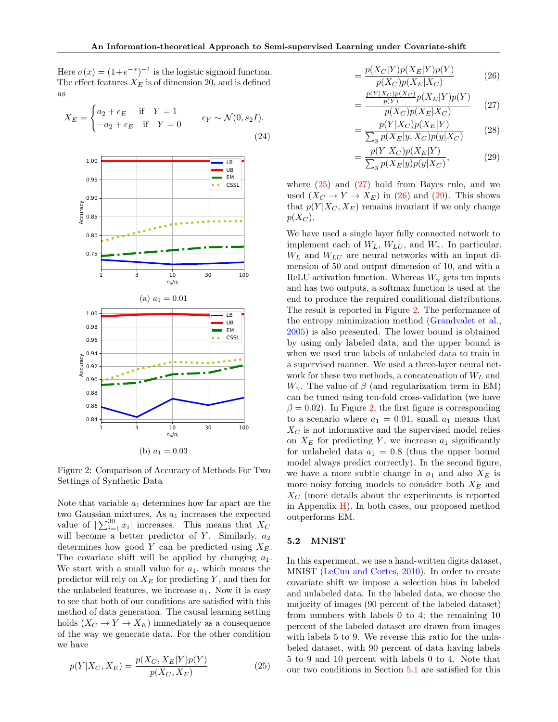Here  $\sigma(x) = (1 + e^{-x})^{-1}$  is the logistic sigmoid function. The effect features  $X_E$  is of dimension 20, and is defined as

$$
X_E = \begin{cases} a_2 + \epsilon_E & \text{if } Y = 1 \\ -a_2 + \epsilon_E & \text{if } Y = 0 \end{cases} \qquad \epsilon_Y \sim \mathcal{N}(0, s_2 I). \tag{24}
$$

<span id="page-7-4"></span>

Figure 2: Comparison of Accuracy of Methods For Two Settings of Synthetic Data

Note that variable  $a_1$  determines how far apart are the two Gaussian mixtures. As  $a_1$  increases the expected value of  $\sum_{i=1}^{30} x_i$  increases. This means that  $X_C$ will become a better predictor of Y. Similarly,  $a_2$ determines how good Y can be predicted using  $X_E$ . The covariate shift will be applied by changing  $a_1$ . We start with a small value for  $a_1$ , which means the predictor will rely on  $X_E$  for predicting Y, and then for the unlabeled features, we increase  $a_1$ . Now it is easy to see that both of our conditions are satisfied with this method of data generation. The causal learning setting holds  $(X_C \to Y \to X_E)$  immediately as a consequence of the way we generate data. For the other condition we have

$$
p(Y|X_C, X_E) = \frac{p(X_C, X_E|Y)p(Y)}{p(X_C, X_E)}
$$
\n(25)

$$
=\frac{p(X_C|Y)p(X_E|Y)p(Y)}{p(X_C)p(X_E|X_C)}
$$
\n(26)

<span id="page-7-2"></span><span id="page-7-1"></span>
$$
=\frac{\frac{p(Y|X_C)p(X_C)}{p(Y)}p(X_E|Y)p(Y)}{p(X_C)p(X_E|X_C)}
$$
 (27)

<span id="page-7-3"></span>
$$
= \frac{p(Y|X_C)p(X_E|Y)}{\sum_y p(X_E|y, X_C)p(y|X_C)}\tag{28}
$$

$$
= \frac{p(Y|X_C)p(X_E|Y)}{\sum_y p(X_E|y)p(y|X_C)},
$$
\n(29)

where  $(25)$  and  $(27)$  hold from Bayes rule, and we used  $(X_C \to Y \to X_E)$  in [\(26\)](#page-7-2) and [\(29\)](#page-7-3). This shows that  $p(Y|X_C, X_E)$  remains invariant if we only change  $p(X_C)$ .

We have used a single layer fully connected network to implement each of  $W_L$ ,  $W_{LU}$ , and  $W_{\gamma}$ . In particular.  $W_L$  and  $W_{LU}$  are neural networks with an input dimension of 50 and output dimension of 10, and with a ReLU activation function. Whereas  $W_{\gamma}$  gets ten inputs and has two outputs, a softmax function is used at the end to produce the required conditional distributions. The result is reported in Figure [2.](#page-7-4) The performance of the entropy minimization method [\(Grandvalet et al.,](#page-9-2) [2005\)](#page-9-2) is also presented. The lower bound is obtained by using only labeled data, and the upper bound is when we used true labels of unlabeled data to train in a supervised manner. We used a three-layer neural network for these two methods, a concatenation of  $W_L$  and  $W_{\gamma}$ . The value of  $\beta$  (and regularization term in EM) can be tuned using ten-fold cross-validation (we have  $\beta = 0.02$ ). In Figure [2,](#page-7-4) the first figure is corresponding to a scenario where  $a_1 = 0.01$ , small  $a_1$  means that  $X_C$  is not informative and the supervised model relies on  $X_E$  for predicting Y, we increase  $a_1$  significantly for unlabeled data  $a_1 = 0.8$  (thus the upper bound model always predict correctly). In the second figure, we have a more subtle change in  $a_1$  and also  $X_E$  is more noisy forcing models to consider both  $X_E$  and  $X_C$  (more details about the experiments is reported in Appendix  $H$ ). In both cases, our proposed method outperforms EM.

### 5.2 MNIST

<span id="page-7-0"></span>In this experiment, we use a hand-written digits dataset, MNIST [\(LeCun and Cortes,](#page-9-22) [2010\)](#page-9-22). In order to create covariate shift we impose a selection bias in labeled and unlabeled data. In the labeled data, we choose the majority of images (90 percent of the labeled dataset) from numbers with labels 0 to 4; the remaining 10 percent of the labeled dataset are drawn from images with labels 5 to 9. We reverse this ratio for the unlabeled dataset, with 90 percent of data having labels 5 to 9 and 10 percent with labels 0 to 4. Note that our two conditions in Section [5.1](#page-6-2) are satisfied for this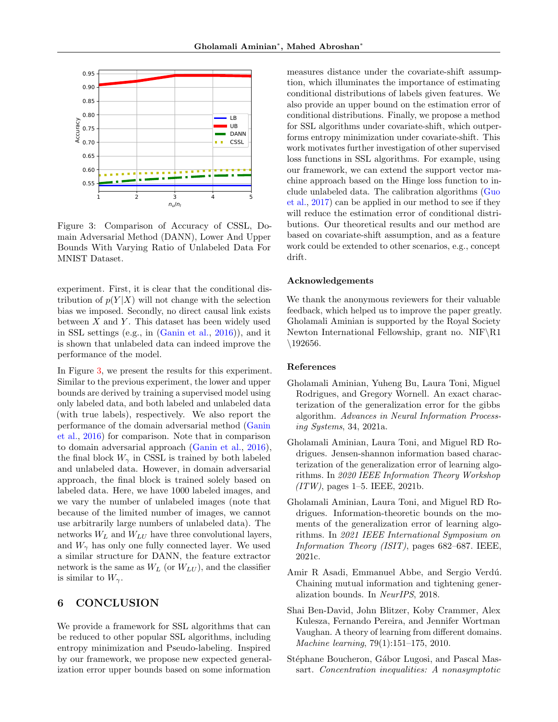<span id="page-8-5"></span>

Figure 3: Comparison of Accuracy of CSSL, Domain Adversarial Method (DANN), Lower And Upper Bounds With Varying Ratio of Unlabeled Data For MNIST Dataset.

experiment. First, it is clear that the conditional distribution of  $p(Y|X)$  will not change with the selection bias we imposed. Secondly, no direct causal link exists between  $X$  and  $Y$ . This dataset has been widely used in SSL settings (e.g., in [\(Ganin et al.,](#page-9-12) [2016\)](#page-9-12)), and it is shown that unlabeled data can indeed improve the performance of the model.

In Figure [3,](#page-8-5) we present the results for this experiment. Similar to the previous experiment, the lower and upper bounds are derived by training a supervised model using only labeled data, and both labeled and unlabeled data (with true labels), respectively. We also report the performance of the domain adversarial method [\(Ganin](#page-9-12) [et al.,](#page-9-12) [2016\)](#page-9-12) for comparison. Note that in comparison to domain adversarial approach [\(Ganin et al.,](#page-9-12) [2016\)](#page-9-12), the final block  $W_{\gamma}$  in CSSL is trained by both labeled and unlabeled data. However, in domain adversarial approach, the final block is trained solely based on labeled data. Here, we have 1000 labeled images, and we vary the number of unlabeled images (note that because of the limited number of images, we cannot use arbitrarily large numbers of unlabeled data). The networks  $W_L$  and  $W_{LU}$  have three convolutional layers, and  $W_{\gamma}$  has only one fully connected layer. We used a similar structure for DANN, the feature extractor network is the same as  $W_L$  (or  $W_{LU}$ ), and the classifier is similar to  $W_{\gamma}$ .

## 6 CONCLUSION

We provide a framework for SSL algorithms that can be reduced to other popular SSL algorithms, including entropy minimization and Pseudo-labeling. Inspired by our framework, we propose new expected generalization error upper bounds based on some information measures distance under the covariate-shift assumption, which illuminates the importance of estimating conditional distributions of labels given features. We also provide an upper bound on the estimation error of conditional distributions. Finally, we propose a method for SSL algorithms under covariate-shift, which outperforms entropy minimization under covariate-shift. This work motivates further investigation of other supervised loss functions in SSL algorithms. For example, using our framework, we can extend the support vector machine approach based on the Hinge loss function to include unlabeled data. The calibration algorithms [\(Guo](#page-9-21) [et al.,](#page-9-21) [2017\)](#page-9-21) can be applied in our method to see if they will reduce the estimation error of conditional distributions. Our theoretical results and our method are based on covariate-shift assumption, and as a feature work could be extended to other scenarios, e.g., concept drift.

#### Acknowledgements

We thank the anonymous reviewers for their valuable feedback, which helped us to improve the paper greatly. Gholamali Aminian is supported by the Royal Society Newton International Fellowship, grant no.  $NIF\R1$ \192656.

#### References

- <span id="page-8-4"></span>Gholamali Aminian, Yuheng Bu, Laura Toni, Miguel Rodrigues, and Gregory Wornell. An exact characterization of the generalization error for the gibbs algorithm. Advances in Neural Information Processing Systems, 34, 2021a.
- <span id="page-8-2"></span>Gholamali Aminian, Laura Toni, and Miguel RD Rodrigues. Jensen-shannon information based characterization of the generalization error of learning algorithms. In 2020 IEEE Information Theory Workshop  $(ITW)$ , pages 1–5. IEEE, 2021b.
- <span id="page-8-3"></span>Gholamali Aminian, Laura Toni, and Miguel RD Rodrigues. Information-theoretic bounds on the moments of the generalization error of learning algorithms. In 2021 IEEE International Symposium on Information Theory (ISIT), pages 682–687. IEEE, 2021c.
- <span id="page-8-1"></span>Amir R Asadi, Emmanuel Abbe, and Sergio Verdú. Chaining mutual information and tightening generalization bounds. In NeurIPS, 2018.
- <span id="page-8-0"></span>Shai Ben-David, John Blitzer, Koby Crammer, Alex Kulesza, Fernando Pereira, and Jennifer Wortman Vaughan. A theory of learning from different domains. Machine learning, 79(1):151–175, 2010.
- <span id="page-8-6"></span>Stéphane Boucheron, Gábor Lugosi, and Pascal Massart. Concentration inequalities: A nonasymptotic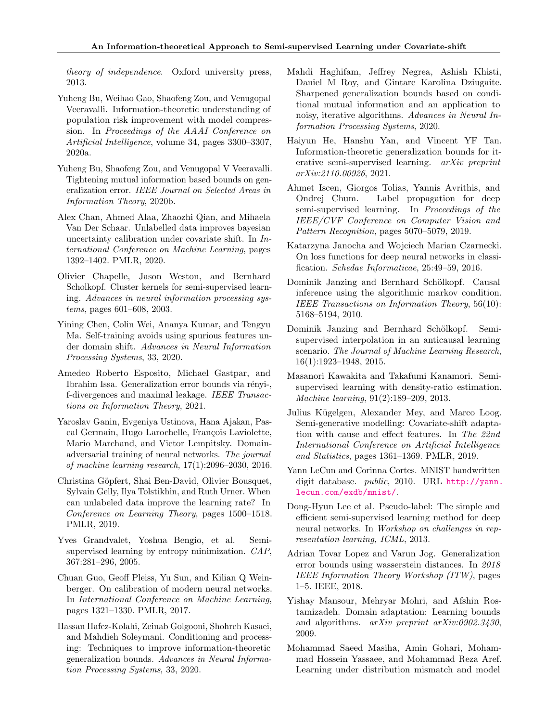theory of independence. Oxford university press, 2013.

- <span id="page-9-19"></span>Yuheng Bu, Weihao Gao, Shaofeng Zou, and Venugopal Veeravalli. Information-theoretic understanding of population risk improvement with model compression. In Proceedings of the AAAI Conference on Artificial Intelligence, volume 34, pages 3300–3307, 2020a.
- <span id="page-9-13"></span>Yuheng Bu, Shaofeng Zou, and Venugopal V Veeravalli. Tightening mutual information based bounds on generalization error. IEEE Journal on Selected Areas in Information Theory, 2020b.
- <span id="page-9-9"></span>Alex Chan, Ahmed Alaa, Zhaozhi Qian, and Mihaela Van Der Schaar. Unlabelled data improves bayesian uncertainty calibration under covariate shift. In International Conference on Machine Learning, pages 1392–1402. PMLR, 2020.
- <span id="page-9-4"></span>Olivier Chapelle, Jason Weston, and Bernhard Scholkopf. Cluster kernels for semi-supervised learning. Advances in neural information processing systems, pages 601–608, 2003.
- <span id="page-9-10"></span>Yining Chen, Colin Wei, Ananya Kumar, and Tengyu Ma. Self-training avoids using spurious features under domain shift. Advances in Neural Information Processing Systems, 33, 2020.
- <span id="page-9-16"></span>Amedeo Roberto Esposito, Michael Gastpar, and Ibrahim Issa. Generalization error bounds via rényi-, f-divergences and maximal leakage. IEEE Transactions on Information Theory, 2021.
- <span id="page-9-12"></span>Yaroslav Ganin, Evgeniya Ustinova, Hana Ajakan, Pascal Germain, Hugo Larochelle, François Laviolette, Mario Marchand, and Victor Lempitsky. Domainadversarial training of neural networks. The journal of machine learning research, 17(1):2096–2030, 2016.
- <span id="page-9-0"></span>Christina Göpfert, Shai Ben-David, Olivier Bousquet, Sylvain Gelly, Ilya Tolstikhin, and Ruth Urner. When can unlabeled data improve the learning rate? In Conference on Learning Theory, pages 1500–1518. PMLR, 2019.
- <span id="page-9-2"></span>Yves Grandvalet, Yoshua Bengio, et al. Semisupervised learning by entropy minimization. CAP, 367:281–296, 2005.
- <span id="page-9-21"></span>Chuan Guo, Geoff Pleiss, Yu Sun, and Kilian Q Weinberger. On calibration of modern neural networks. In International Conference on Machine Learning, pages 1321–1330. PMLR, 2017.
- <span id="page-9-14"></span>Hassan Hafez-Kolahi, Zeinab Golgooni, Shohreh Kasaei, and Mahdieh Soleymani. Conditioning and processing: Techniques to improve information-theoretic generalization bounds. Advances in Neural Information Processing Systems, 33, 2020.
- <span id="page-9-15"></span>Mahdi Haghifam, Jeffrey Negrea, Ashish Khisti, Daniel M Roy, and Gintare Karolina Dziugaite. Sharpened generalization bounds based on conditional mutual information and an application to noisy, iterative algorithms. Advances in Neural Information Processing Systems, 2020.
- <span id="page-9-1"></span>Haiyun He, Hanshu Yan, and Vincent YF Tan. Information-theoretic generalization bounds for iterative semi-supervised learning. arXiv preprint arXiv:2110.00926, 2021.
- <span id="page-9-3"></span>Ahmet Iscen, Giorgos Tolias, Yannis Avrithis, and Ondrej Chum. Label propagation for deep semi-supervised learning. In Proceedings of the IEEE/CVF Conference on Computer Vision and Pattern Recognition, pages 5070–5079, 2019.
- <span id="page-9-20"></span>Katarzyna Janocha and Wojciech Marian Czarnecki. On loss functions for deep neural networks in classification. Schedae Informaticae, 25:49–59, 2016.
- <span id="page-9-6"></span>Dominik Janzing and Bernhard Schölkopf. Causal inference using the algorithmic markov condition. IEEE Transactions on Information Theory, 56(10): 5168–5194, 2010.
- <span id="page-9-7"></span>Dominik Janzing and Bernhard Schölkopf. Semisupervised interpolation in an anticausal learning scenario. The Journal of Machine Learning Research, 16(1):1923–1948, 2015.
- <span id="page-9-8"></span>Masanori Kawakita and Takafumi Kanamori. Semisupervised learning with density-ratio estimation. Machine learning, 91(2):189–209, 2013.
- <span id="page-9-23"></span>Julius Kügelgen, Alexander Mey, and Marco Loog. Semi-generative modelling: Covariate-shift adaptation with cause and effect features. In The 22nd International Conference on Artificial Intelligence and Statistics, pages 1361–1369. PMLR, 2019.
- <span id="page-9-22"></span>Yann LeCun and Corinna Cortes. MNIST handwritten digit database. public, 2010. URL [http://yann.](http://yann.lecun.com/exdb/mnist/) [lecun.com/exdb/mnist/](http://yann.lecun.com/exdb/mnist/).
- <span id="page-9-5"></span>Dong-Hyun Lee et al. Pseudo-label: The simple and efficient semi-supervised learning method for deep neural networks. In Workshop on challenges in representation learning, ICML, 2013.
- <span id="page-9-17"></span>Adrian Tovar Lopez and Varun Jog. Generalization error bounds using wasserstein distances. In 2018 IEEE Information Theory Workshop (ITW), pages 1–5. IEEE, 2018.
- <span id="page-9-11"></span>Yishay Mansour, Mehryar Mohri, and Afshin Rostamizadeh. Domain adaptation: Learning bounds and algorithms. arXiv preprint arXiv:0902.3430, 2009.
- <span id="page-9-18"></span>Mohammad Saeed Masiha, Amin Gohari, Mohammad Hossein Yassaee, and Mohammad Reza Aref. Learning under distribution mismatch and model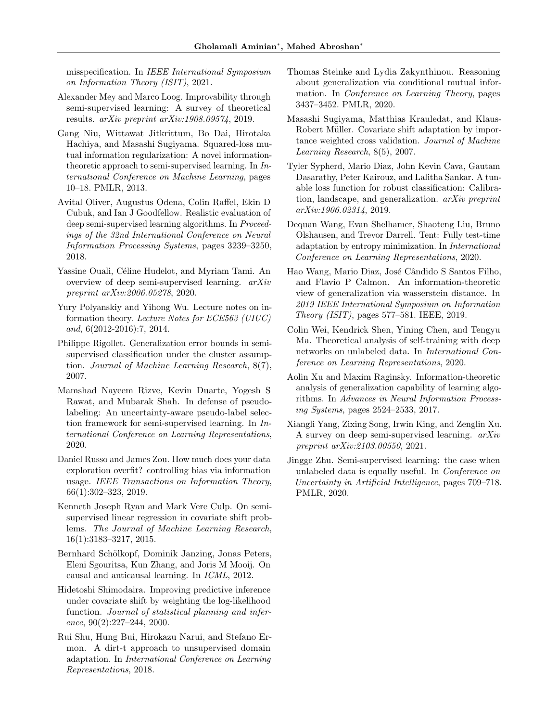misspecification. In IEEE International Symposium on Information Theory (ISIT), 2021.

- <span id="page-10-7"></span>Alexander Mey and Marco Loog. Improvability through semi-supervised learning: A survey of theoretical results. arXiv preprint arXiv:1908.09574, 2019.
- <span id="page-10-5"></span>Gang Niu, Wittawat Jitkrittum, Bo Dai, Hirotaka Hachiya, and Masashi Sugiyama. Squared-loss mutual information regularization: A novel informationtheoretic approach to semi-supervised learning. In International Conference on Machine Learning, pages 10–18. PMLR, 2013.
- <span id="page-10-3"></span>Avital Oliver, Augustus Odena, Colin Raffel, Ekin D Cubuk, and Ian J Goodfellow. Realistic evaluation of deep semi-supervised learning algorithms. In Proceedings of the 32nd International Conference on Neural Information Processing Systems, pages 3239–3250, 2018.
- <span id="page-10-1"></span>Yassine Ouali, Céline Hudelot, and Myriam Tami. An overview of deep semi-supervised learning. arXiv preprint arXiv:2006.05278, 2020.
- <span id="page-10-10"></span>Yury Polyanskiy and Yihong Wu. Lecture notes on information theory. Lecture Notes for ECE563 (UIUC) and, 6(2012-2016):7, 2014.
- <span id="page-10-6"></span>Philippe Rigollet. Generalization error bounds in semisupervised classification under the cluster assumption. Journal of Machine Learning Research, 8(7), 2007.
- <span id="page-10-11"></span>Mamshad Nayeem Rizve, Kevin Duarte, Yogesh S Rawat, and Mubarak Shah. In defense of pseudolabeling: An uncertainty-aware pseudo-label selection framework for semi-supervised learning. In International Conference on Learning Representations, 2020.
- <span id="page-10-9"></span>Daniel Russo and James Zou. How much does your data exploration overfit? controlling bias via information usage. IEEE Transactions on Information Theory, 66(1):302–323, 2019.
- <span id="page-10-2"></span>Kenneth Joseph Ryan and Mark Vere Culp. On semisupervised linear regression in covariate shift problems. The Journal of Machine Learning Research, 16(1):3183–3217, 2015.
- <span id="page-10-13"></span>Bernhard Schölkopf, Dominik Janzing, Jonas Peters, Eleni Sgouritsa, Kun Zhang, and Joris M Mooij. On causal and anticausal learning. In ICML, 2012.
- <span id="page-10-15"></span>Hidetoshi Shimodaira. Improving predictive inference under covariate shift by weighting the log-likelihood function. Journal of statistical planning and inference,  $90(2):227-244$ ,  $2000$ .
- <span id="page-10-17"></span>Rui Shu, Hung Bui, Hirokazu Narui, and Stefano Ermon. A dirt-t approach to unsupervised domain adaptation. In International Conference on Learning Representations, 2018.
- <span id="page-10-18"></span>Thomas Steinke and Lydia Zakynthinou. Reasoning about generalization via conditional mutual information. In Conference on Learning Theory, pages 3437–3452. PMLR, 2020.
- <span id="page-10-14"></span>Masashi Sugiyama, Matthias Krauledat, and Klaus-Robert Müller. Covariate shift adaptation by importance weighted cross validation. Journal of Machine Learning Research, 8(5), 2007.
- <span id="page-10-20"></span>Tyler Sypherd, Mario Diaz, John Kevin Cava, Gautam Dasarathy, Peter Kairouz, and Lalitha Sankar. A tunable loss function for robust classification: Calibration, landscape, and generalization. arXiv preprint arXiv:1906.02314, 2019.
- <span id="page-10-16"></span>Dequan Wang, Evan Shelhamer, Shaoteng Liu, Bruno Olshausen, and Trevor Darrell. Tent: Fully test-time adaptation by entropy minimization. In International Conference on Learning Representations, 2020.
- <span id="page-10-19"></span>Hao Wang, Mario Diaz, José Cândido S Santos Filho, and Flavio P Calmon. An information-theoretic view of generalization via wasserstein distance. In 2019 IEEE International Symposium on Information Theory (ISIT), pages 577–581. IEEE, 2019.
- <span id="page-10-12"></span>Colin Wei, Kendrick Shen, Yining Chen, and Tengyu Ma. Theoretical analysis of self-training with deep networks on unlabeled data. In International Conference on Learning Representations, 2020.
- <span id="page-10-8"></span>Aolin Xu and Maxim Raginsky. Information-theoretic analysis of generalization capability of learning algorithms. In Advances in Neural Information Processing Systems, pages 2524–2533, 2017.
- <span id="page-10-0"></span>Xiangli Yang, Zixing Song, Irwin King, and Zenglin Xu. A survey on deep semi-supervised learning. arXiv preprint arXiv:2103.00550, 2021.
- <span id="page-10-4"></span>Jingge Zhu. Semi-supervised learning: the case when unlabeled data is equally useful. In Conference on Uncertainty in Artificial Intelligence, pages 709–718. PMLR, 2020.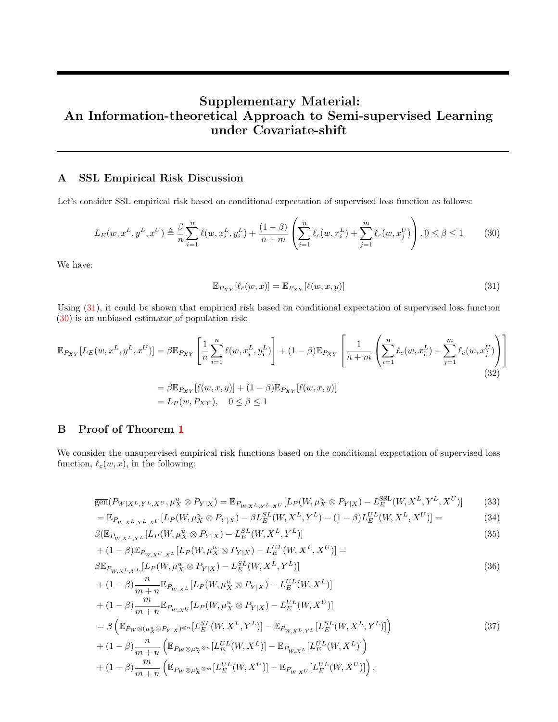# Supplementary Material: An Information-theoretical Approach to Semi-supervised Learning under Covariate-shift

### <span id="page-11-0"></span>A SSL Empirical Risk Discussion

Let's consider SSL empirical risk based on conditional expectation of supervised loss function as follows:

$$
L_E(w, x^L, y^L, x^U) \triangleq \frac{\beta}{n} \sum_{i=1}^n \ell(w, x_i^L, y_i^L) + \frac{(1-\beta)}{n+m} \left( \sum_{i=1}^n \ell_c(w, x_i^L) + \sum_{j=1}^m \ell_c(w, x_j^U) \right), 0 \le \beta \le 1
$$
 (30)

We have:

<span id="page-11-3"></span><span id="page-11-2"></span>
$$
\mathbb{E}_{P_{XY}}[\ell_c(w,x)] = \mathbb{E}_{P_{XY}}[\ell(w,x,y)] \tag{31}
$$

Using [\(31\)](#page-11-2), it could be shown that empirical risk based on conditional expectation of supervised loss function [\(30\)](#page-11-3) is an unbiased estimator of population risk:

$$
\mathbb{E}_{P_{XY}}[L_E(w, x^L, y^L, x^U)] = \beta \mathbb{E}_{P_{XY}}\left[\frac{1}{n} \sum_{i=1}^n \ell(w, x_i^L, y_i^L)\right] + (1 - \beta) \mathbb{E}_{P_{XY}}\left[\frac{1}{n+m} \left(\sum_{i=1}^n \ell_c(w, x_i^L) + \sum_{j=1}^m \ell_c(w, x_j^U)\right)\right]
$$
  
\n
$$
= \beta \mathbb{E}_{P_{XY}}[\ell(w, x, y)] + (1 - \beta) \mathbb{E}_{P_{XY}}[\ell(w, x, y)]
$$
  
\n
$$
= L_P(w, P_{XY}), \quad 0 \le \beta \le 1
$$
\n(32)

### <span id="page-11-1"></span>B Proof of Theorem [1](#page-4-3)

We consider the unsupervised empirical risk functions based on the conditional expectation of supervised loss function,  $\ell_c(w, x)$ , in the following:

$$
\overline{\text{gen}}(P_{W|X^L,Y^L,X^U},\mu_X^u \otimes P_{Y|X}) = \mathbb{E}_{P_{W,X^L,Y^L,X^U}}[L_P(W,\mu_X^u \otimes P_{Y|X}) - L_E^{\text{SSL}}(W,X^L,Y^L,X^U)] \tag{33}
$$

$$
= \mathbb{E}_{P_{W,X^L,Y^L,X^U}}[L_P(W,\mu_X^u \otimes P_{Y|X}) - \beta L_E^{SL}(W,X^L,Y^L) - (1-\beta)L_E^{UL}(W,X^L,X^U)] =
$$
(34)

$$
\beta(\mathbb{E}_{P_{W,X^L,Y^L}}[L_P(W,\mu^u_X \otimes P_{Y|X}) - L_E^{SL}(W,X^L,Y^L)]
$$
\n(35)

+ 
$$
(1 - \beta) \mathbb{E}_{P_{W,X^U,X^L}} [L_P(W, \mu_X^u \otimes P_{Y|X}) - L_E^{UL}(W, X^L, X^U)] =
$$
  
\n $\beta \mathbb{E}_{P_{W,X^L,Y^L}} [L_P(W, \mu_X^u \otimes P_{Y|X}) - L_E^{SL}(W, X^L, Y^L)]$ \n(36)

+ 
$$
(1 - \beta) \frac{n}{m+n} \mathbb{E}_{P_{W,X^L}} [L_P(W, \mu_X^u \otimes P_{Y|X}) - L_E^{UL}(W, X^L)]
$$
  
+  $(1 - \beta) \frac{m}{m+n} \mathbb{E}_{P_{W,X^U}} [L_P(W, \mu_X^u \otimes P_{Y|X}) - L_E^{UL}(W, X^U)]$   
=  $\beta \left( \mathbb{E}_{P_W \otimes (\mu_X^u \otimes P_{Y|X})^{\otimes n}} [L_E^{SL}(W, X^L, Y^L)] - \mathbb{E}_{P_{W,X^L,Y^L}} [L_E^{SL}(W, X^L, Y^L)] \right)$   
+  $(1 - \beta) \frac{n}{m+n} \left( \mathbb{E}_{P_W \otimes \mu_X^u \otimes n} [L_E^{UL}(W, X^L)] - \mathbb{E}_{P_{W,X^L}} [L_E^{UL}(W, X^L)] \right)$   
+  $(1 - \beta) \frac{m}{m+n} \left( \mathbb{E}_{P_W \otimes \mu_X^u \otimes m} [L_E^{UL}(W, X^U)] - \mathbb{E}_{P_{W,X^U}} [L_E^{UL}(W, X^U)] \right)$ , (37)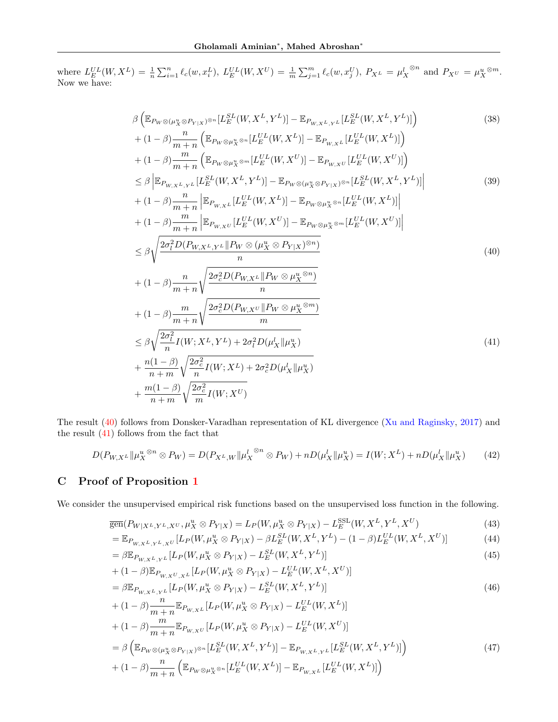where  $L_E^{UL}(W, X^L) = \frac{1}{n} \sum_{i=1}^n \ell_c(w, x_i^L)$ ,  $L_E^{UL}(W, X^U) = \frac{1}{m} \sum_{j=1}^m \ell_c(w, x_j^U)$ ,  $P_{X^L} = \mu_X^L$ <sup>⊗n</sup> and  $P_{X}$ <sup>U</sup> =  $\mu_X^{u \otimes m}$ . Now we have:

<span id="page-12-1"></span>
$$
\beta \left( \mathbb{E}_{P_{W}\otimes (\mu_{X}^{u}\otimes P_{Y|X})\otimes n} [L_{E}^{SL}(W, X^{L}, Y^{L})] - \mathbb{E}_{P_{W,X^{L}, Y^{L}}}[L_{E}^{SL}(W, X^{L}, Y^{L})] \right)
$$
\n
$$
+ (1 - \beta) \frac{n}{m+n} \left( \mathbb{E}_{P_{W}\otimes \mu_{X}^{u}\otimes n} [L_{E}^{UL}(W, X^{L})] - \mathbb{E}_{P_{W,X^{L}}}[L_{E}^{UL}(W, X^{L})] \right)
$$
\n
$$
+ (1 - \beta) \frac{n}{m+n} \left( \mathbb{E}_{P_{W}\otimes \mu_{X}^{u}\otimes n} [L_{E}^{UL}(W, X^{U})] - \mathbb{E}_{P_{W,X^{L}}}[L_{E}^{UL}(W, X^{U})] \right)
$$
\n
$$
\leq \beta \left| \mathbb{E}_{P_{W,X^{L}, Y^{L}}}[L_{E}^{SL}(W, X^{L}, Y^{L})] - \mathbb{E}_{P_{W}\otimes (\mu_{X}^{u}\otimes P_{Y|X})\otimes n} [L_{E}^{SL}(W, X^{L}, Y^{L})] \right|
$$
\n
$$
+ (1 - \beta) \frac{n}{m+n} \left| \mathbb{E}_{P_{W,X^{L}}}[L_{E}^{UL}(W, X^{U})] - \mathbb{E}_{P_{W}\otimes \mu_{X}^{u}\otimes n} [L_{E}^{UL}(W, X^{L})] \right|
$$
\n
$$
+ (1 - \beta) \frac{n}{m+n} \left| \mathbb{E}_{P_{W,X^{L}, Y^{L}}}[P_{W}\otimes (\mu_{X}^{u}\otimes P_{Y|X})\otimes n] - \mathbb{E}_{P_{W}\otimes \mu_{X}^{u}\otimes n} [L_{E}^{UL}(W, X^{U})] \right|
$$
\n
$$
+ (1 - \beta) \frac{n}{m+n} \sqrt{\frac{2\sigma_{c}^{2}D(P_{W,X^{L}}\|P_{W}\otimes \mu_{X}^{u}\otimes n)}{n}}
$$
\n
$$
+ (1 - \beta) \frac{n}{m+n} \sqrt{\frac{2\sigma_{c}^{2}D(P_{W,X^{L}}\|P_{W}\otimes \mu_{X}^{u}\otimes n)}{m}}
$$
\n
$$
+ \
$$

The result [\(40\)](#page-12-1) follows from Donsker-Varadhan representation of KL divergence [\(Xu and Raginsky,](#page-10-8) [2017\)](#page-10-8) and the result  $(41)$  follows from the fact that

<span id="page-12-2"></span>
$$
D(P_{W,X^L} \| \mu_X^{u \otimes n} \otimes P_W) = D(P_{X^L,W} \| \mu_X^{l \otimes n} \otimes P_W) + nD(\mu_X^l \| \mu_X^u) = I(W; X^L) + nD(\mu_X^l \| \mu_X^u)
$$
(42)

## <span id="page-12-0"></span>C Proof of Proposition [1](#page-4-2)

We consider the unsupervised empirical risk functions based on the unsupervised loss function in the following.

$$
\overline{\text{gen}}(P_{W|X^L,Y^L,X^U},\mu_X^u \otimes P_{Y|X}) = L_P(W,\mu_X^u \otimes P_{Y|X}) - L_E^{\text{SSL}}(W,X^L,Y^L,X^U) \tag{43}
$$

$$
= \mathbb{E}_{P_{W,X^L,Y^L,X^U}}[L_P(W,\mu_X^u \otimes P_{Y|X}) - \beta L_E^{SL}(W,X^L,Y^L) - (1-\beta)L_E^{UL}(W,X^L,X^U)]
$$
(44)

$$
= \beta \mathbb{E}_{P_{W,X^L,Y^L}} [L_P(W, \mu_X^u \otimes P_{Y|X}) - L_E^{SL}(W, X^L, Y^L)] \tag{45}
$$

+ 
$$
(1 - \beta) \mathbb{E}_{P_{W,X^U,X^L}} [L_P(W, \mu_X^u \otimes P_{Y|X}) - L_E^{UL}(W, X^L, X^U)]
$$
  
=  $\beta \mathbb{E}_{P_{W,X^L,Y^L}} [L_P(W, \mu_X^u \otimes P_{Y|X}) - L_E^{SL}(W, X^L, Y^L)]$  (46)

+ 
$$
(1 - \beta) \frac{n}{m+n} \mathbb{E}_{P_{W,XL}} [L_P(W, \mu_X^u \otimes P_{Y|X}) - L_E^{UL}(W, X^L)]
$$
  
+  $(1 - \beta) \frac{m}{m+n} \mathbb{E}_{P_{W,XU}} [L_P(W, \mu_X^u \otimes P_{Y|X}) - L_E^{UL}(W, X^U)]$   
=  $\beta \left( \mathbb{E}_{P_W \otimes (\mu_X^u \otimes P_{Y|X})^{\otimes n}} [L_E^{SL}(W, X^L, Y^L)] - \mathbb{E}_{P_{W,X^L,Y^L}} [L_E^{SL}(W, X^L, Y^L)] \right)$   
+  $(1 - \beta) \frac{n}{m+n} \left( \mathbb{E}_{P_W \otimes \mu_X^u \otimes n} [L_E^{UL}(W, X^L)] - \mathbb{E}_{P_{W,X^L}} [L_E^{UL}(W, X^L)] \right)$  (47)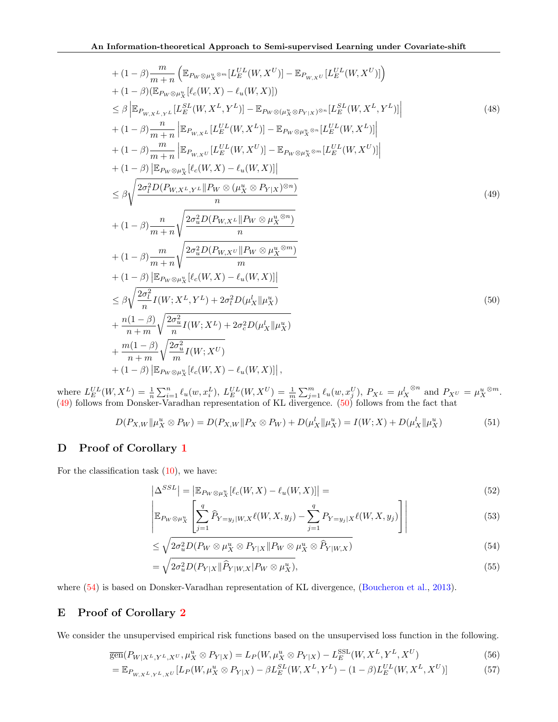<span id="page-13-2"></span>+ 
$$
(1 - \beta) \frac{m}{m + n} \left( \mathbb{E}_{P_W \otimes \mu_X^u \otimes^m} [L_E^{UL}(W, X^U)] - \mathbb{E}_{P_{W,XU}} [L_E^{UL}(W, X^U)] \right)
$$
  
\n+  $(1 - \beta) (\mathbb{E}_{P_W \otimes \mu_X^u} [l_e(W, X) - l_u(W, X)])$   
\n $\leq \beta \left| \mathbb{E}_{P_{W,X^L,Y^L}} [L_E^{SL}(W, X^L, Y^L)] - \mathbb{E}_{P_W \otimes (\mu_X^u \otimes P_{Y|X})^{\otimes n}} [L_E^{SL}(W, X^L, Y^L)] \right|$   
\n+  $(1 - \beta) \frac{n}{m + n} \left| \mathbb{E}_{P_{W,X^L}} [L_E^{UL}(W, X^L)] - \mathbb{E}_{P_W \otimes \mu_X^u \otimes^n} [L_E^{UL}(W, X^L)] \right|$   
\n+  $(1 - \beta) \frac{m}{m + n} \left| \mathbb{E}_{P_{W,X^L}} [L_E^{UL}(W, X^U)] - \mathbb{E}_{P_W \otimes \mu_X^u \otimes^m} [L_E^{UL}(W, X^U)] \right|$   
\n+  $(1 - \beta) \left| \mathbb{E}_{P_W \otimes \mu_X^u} [l_e(W, X) - l_u(W, X)] \right|$   
\n $\leq \beta \sqrt{\frac{2\sigma_l^2 D(P_{W,X^L,Y^L} || P_W \otimes (\mu_X^u \otimes P_{Y|X})^{\otimes n})}{n}}$   
\n+  $(1 - \beta) \frac{n}{m + n} \sqrt{\frac{2\sigma_u^2 D(P_{W,X^L} || P_W \otimes \mu_X^u \otimes^m)}{m}}$   
\n+  $(1 - \beta) \left| \mathbb{E}_{P_W \otimes \mu_X^u} [l_e(W, X) - l_u(W, X)] \right|$   
\n $\leq \beta \sqrt{\frac{2\sigma_l^2}{n} I(W, X^L, Y^L) + 2\sigma_l^2 D(\mu_X^l || \mu_X^u)}$   
\n+  $\frac{n(1 - \beta)}{n + m} \sqrt{\frac{2\sigma_u^2}{n} I(W, X^L) + 2\sigma_e^2 D(\mu_X^l || \mu_X^u)}$   
\n+ 

where  $L_E^{UL}(W, X^L) = \frac{1}{n} \sum_{i=1}^n \ell_u(w, x_i^L), L_E^{UL}(W, X^U) = \frac{1}{m} \sum_{j=1}^m \ell_u(w, x_j^U), P_{X^L} = \mu_X^L$ ⊗<sup>n</sup> and  $P_{X}U = \mu_X^u$  ⊗<sup>m</sup>. [\(49\)](#page-13-2) follows from Donsker-Varadhan representation of KL divergence. [\(50\)](#page-13-3) follows from the fact that

$$
D(P_{X,W} \| \mu_X^u \otimes P_W) = D(P_{X,W} \| P_X \otimes P_W) + D(\mu_X^l \| \mu_X^u) = I(W;X) + D(\mu_X^l \| \mu_X^u)
$$
(51)

## <span id="page-13-0"></span>D Proof of Corollary [1](#page-5-1)

For the classification task [\(10\)](#page-3-2), we have:

<span id="page-13-3"></span>
$$
\left| \Delta^{SSL} \right| = \left| \mathbb{E}_{P_W \otimes \mu_X^u} [\ell_c(W, X) - \ell_u(W, X)] \right| = \tag{52}
$$

$$
\left| \mathbb{E}_{P_W \otimes \mu_X^u} \left[ \sum_{j=1}^q \widehat{P}_{Y=y_j|W,X} \ell(W,X,y_j) - \sum_{j=1}^q P_{Y=y_j|X} \ell(W,X,y_j) \right] \right| \tag{53}
$$

<span id="page-13-4"></span>
$$
\leq \sqrt{2\sigma_u^2 D(P_W \otimes \mu_X^u \otimes P_{Y|X} \| P_W \otimes \mu_X^u \otimes \widehat{P}_{Y|W,X})}
$$
(54)

$$
= \sqrt{2\sigma_u^2 D(P_{Y|X} \|\widehat{P}_{Y|W,X} | P_W \otimes \mu_X^u)},\tag{55}
$$

where [\(54\)](#page-13-4) is based on Donsker-Varadhan representation of KL divergence, [\(Boucheron et al.,](#page-8-6) [2013\)](#page-8-6).

## <span id="page-13-1"></span>E Proof of Corollary [2](#page-5-2)

We consider the unsupervised empirical risk functions based on the unsupervised loss function in the following.

$$
\overline{\text{gen}}(P_{W|X^L,Y^L,X^U},\mu_X^u \otimes P_{Y|X}) = L_P(W,\mu_X^u \otimes P_{Y|X}) - L_E^{\text{SSL}}(W,X^L,Y^L,X^U) \tag{56}
$$

$$
= \mathbb{E}_{P_{W,X^L,Y^L,X^U}}[L_P(W,\mu_X^u \otimes P_{Y|X}) - \beta L_E^{SL}(W,X^L,Y^L) - (1-\beta)L_E^{UL}(W,X^L,X^U)]
$$
(57)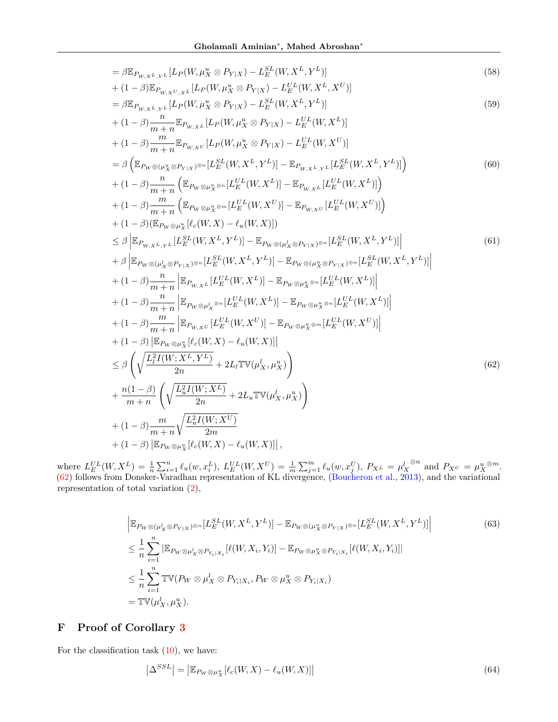$$
\begin{array}{ll}\n\beta \mathbb{E}_{P_{W,X}L,YL}[L_{P}(W,\mu_{X}^{u}\otimes P_{Y|X})-L_{E}^{SU}(W,X^{L},Y^{L})] \\
+ (1-\beta) \mathbb{E}_{P_{W,X}U,YL}[L_{P}(W,\mu_{X}^{u}\otimes P_{Y|X})-L_{E}^{U}(W,X^{L},Y^{U})] \\
= \beta \mathbb{E}_{P_{W,X}U,YL}[L_{P}(W,\mu_{X}^{u}\otimes P_{Y|X})-L_{E}^{SU}(W,X^{L},Y^{L})] \\
+ (1-\beta) \frac{n}{m+n} \mathbb{E}_{P_{W,XL}}[L_{P}(W,\mu_{X}^{u}\otimes P_{Y|X})-L_{E}^{U}(W,X^{L})] \\
+ (1-\beta) \frac{m}{m+n} \mathbb{E}_{P_{W,XL}}[L_{P}(W,\mu_{X}^{u}\otimes P_{Y|X})-L_{E}^{U}(W,X^{U})] \\
= \beta \left( \mathbb{E}_{P_{W}\otimes(\mu_{X}^{u}\otimes P_{Y|X})\otimes n}[L_{E}^{U}(W,X^{L},Y^{L})]-\mathbb{E}_{P_{W,X}L,YL}[L_{E}^{U}(W,X^{L},Y^{L})]\right) \\
+ (1-\beta) \frac{n}{m+n} \left( \mathbb{E}_{P_{W}\otimes\mu_{X}^{u}\otimes n}[L_{E}^{U}(W,X^{L})]-\mathbb{E}_{P_{W,X}L}[L_{E}^{U}(W,X^{L})]\right) \\
+ (1-\beta) \frac{m}{m+n} \left( \mathbb{E}_{P_{W}\otimes\mu_{X}^{u}\otimes n}[L_{E}^{U}(W,X^{L})]-\mathbb{E}_{P_{W,XL}}[L_{E}^{U}(W,X^{L})]\right) \\
+ (1-\beta) \frac{m}{m+n} \left( \mathbb{E}_{P_{W}\otimes\mu_{X}^{u}\otimes n}[L_{E}^{U}(W,X^{L})]-\mathbb{E}_{P_{W}\otimes(\mu_{X}^{u}\otimes P_{Y|X})\otimes n}[L_{E}^{SU}(W,X^{L},Y^{L})]\right) \\
+ \beta \left| \mathbb{E}_{P_{W,X}L,YL}[L_{E}^{SU}(W,X^{L},Y^{L})]-\mathbb{E}_{P_{W}\otimes(\mu_{X}^{u}\otimes P_{Y|X})\otimes n}[L_{E}^{SU}(W,X^{L},Y^{L})]\
$$

where  $L_E^{UL}(W, X^L) = \frac{1}{n} \sum_{i=1}^n \ell_u(w, x_i^L), L_E^{UL}(W, X^U) = \frac{1}{m} \sum_{j=1}^m \ell_u(w, x_j^U), P_{X^L} = \mu_X^L$ ⊗<sup>n</sup> and  $P_{XU} = \mu_X^u$ <sup>⊗m</sup>. [\(62\)](#page-14-1) follows from Donsker-Varadhan representation of KL divergence, [\(Boucheron et al.,](#page-8-6) [2013\)](#page-8-6), and the variational representation of total variation [\(2\)](#page-1-0),

<span id="page-14-1"></span>
$$
\begin{split}\n&\left|\mathbb{E}_{P_W \otimes (\mu_X^l \otimes P_{Y|X})^{\otimes n}}[L_E^{SL}(W, X^L, Y^L)] - \mathbb{E}_{P_W \otimes (\mu_X^u \otimes P_{Y|X})^{\otimes n}}[L_E^{SL}(W, X^L, Y^L)]\right| \\
&\leq \frac{1}{n} \sum_{i=1}^n |\mathbb{E}_{P_W \otimes \mu_X^l \otimes P_{Y_i|X_i}}[\ell(W, X_i, Y_i)] - \mathbb{E}_{P_W \otimes \mu_X^u \otimes P_{Y_i|X_i}}[\ell(W, X_i, Y_i)]| \\
&\leq \frac{1}{n} \sum_{i=1}^n \mathbb{TV}(P_W \otimes \mu_X^l \otimes P_{Y_i|X_i}, P_W \otimes \mu_X^u \otimes P_{Y_i|X_i}) \\
&= \mathbb{TV}(\mu_X^l, \mu_X^u).\n\end{split} \tag{63}
$$

## <span id="page-14-0"></span>F Proof of Corollary [3](#page-5-6)

For the classification task  $(10)$ , we have:

 $\overline{\phantom{a}}$ 

$$
\left|\Delta^{SSL}\right| = \left|\mathbb{E}_{P_W \otimes \mu_X^u}[\ell_c(W, X) - \ell_u(W, X)]\right|
$$
\n(64)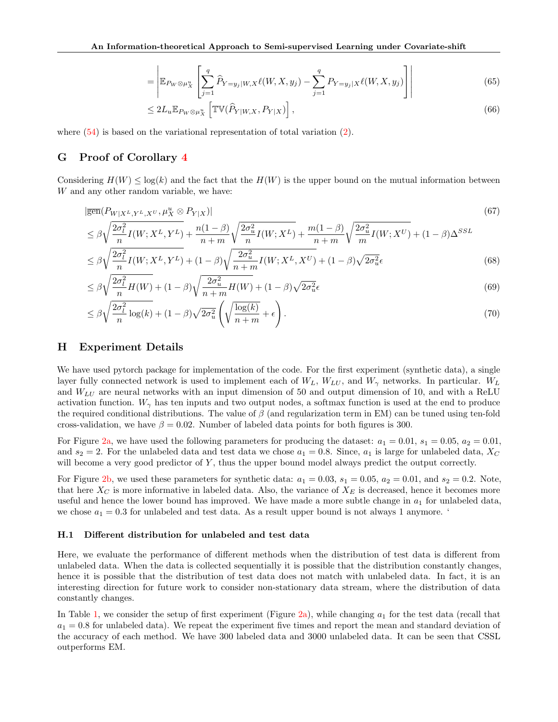$$
= \left| \mathbb{E}_{P_W \otimes \mu_X^u} \left[ \sum_{j=1}^q \widehat{P}_{Y=y_j|W,X} \ell(W,X,y_j) - \sum_{j=1}^q P_{Y=y_j|X} \ell(W,X,y_j) \right] \right| \tag{65}
$$

$$
\leq 2L_u \mathbb{E}_{P_W \otimes \mu_X^u} \left[ \mathbb{TV}(\widehat{P}_{Y|W,X}, P_{Y|X}) \right],\tag{66}
$$

where  $(54)$  is based on the variational representation of total variation  $(2)$ .

### <span id="page-15-0"></span>G Proof of Corollary [4](#page-5-3)

Considering  $H(W) \leq \log(k)$  and the fact that the  $H(W)$  is the upper bound on the mutual information between W and any other random variable, we have:

$$
|\overline{\text{gen}}(P_{W|X^L,Y^L,X^U},\mu_X^u \otimes P_{Y|X})|
$$
\n
$$
\leq \beta \sqrt{\frac{2\sigma_l^2}{n}I(W;X^L,Y^L)} + \frac{n(1-\beta)}{n+m} \sqrt{\frac{2\sigma_u^2}{n}I(W;X^L)} + \frac{m(1-\beta)}{n+m} \sqrt{\frac{2\sigma_u^2}{m}I(W;X^U)} + (1-\beta)\Delta^{SSL}
$$
\n
$$
(67)
$$

$$
\leq \beta \sqrt{\frac{2\sigma_l^2}{n} I(W; X^L, Y^L)} + (1 - \beta) \sqrt{\frac{2\sigma_u^2}{n+m}} I(W; X^L, X^U) + (1 - \beta) \sqrt{2\sigma_u^2} \epsilon
$$
\n
$$
\tag{68}
$$

$$
\leq \beta \sqrt{\frac{2\sigma_l^2}{n}H(W)} + (1-\beta)\sqrt{\frac{2\sigma_u^2}{n+m}H(W)} + (1-\beta)\sqrt{2\sigma_u^2}\epsilon
$$
\n
$$
\tag{69}
$$

$$
\leq \beta \sqrt{\frac{2\sigma_l^2}{n} \log(k)} + (1-\beta) \sqrt{2\sigma_u^2} \left( \sqrt{\frac{\log(k)}{n+m}} + \epsilon \right). \tag{70}
$$

### <span id="page-15-1"></span>H Experiment Details

We have used pytorch package for implementation of the code. For the first experiment (synthetic data), a single layer fully connected network is used to implement each of  $W_L$ ,  $W_{LU}$ , and  $W_{\gamma}$  networks. In particular.  $W_L$ and  $W_{LU}$  are neural networks with an input dimension of 50 and output dimension of 10, and with a ReLU activation function.  $W_{\gamma}$  has ten inputs and two output nodes, a softmax function is used at the end to produce the required conditional distributions. The value of  $\beta$  (and regularization term in EM) can be tuned using ten-fold cross-validation, we have  $\beta = 0.02$ . Number of labeled data points for both figures is 300.

For Figure [2a,](#page-7-4) we have used the following parameters for producing the dataset:  $a_1 = 0.01$ ,  $s_1 = 0.05$ ,  $a_2 = 0.01$ , and  $s_2 = 2$ . For the unlabeled data and test data we chose  $a_1 = 0.8$ . Since,  $a_1$  is large for unlabeled data,  $X_C$ will become a very good predictor of Y, thus the upper bound model always predict the output correctly.

For Figure [2b,](#page-7-4) we used these parameters for synthetic data:  $a_1 = 0.03$ ,  $s_1 = 0.05$ ,  $a_2 = 0.01$ , and  $s_2 = 0.2$ . Note, that here  $X_C$  is more informative in labeled data. Also, the variance of  $X_E$  is decreased, hence it becomes more useful and hence the lower bound has improved. We have made a more subtle change in  $a_1$  for unlabeled data, we chose  $a_1 = 0.3$  for unlabeled and test data. As a result upper bound is not always 1 anymore.

### H.1 Different distribution for unlabeled and test data

Here, we evaluate the performance of different methods when the distribution of test data is different from unlabeled data. When the data is collected sequentially it is possible that the distribution constantly changes, hence it is possible that the distribution of test data does not match with unlabeled data. In fact, it is an interesting direction for future work to consider non-stationary data stream, where the distribution of data constantly changes.

In Table [1,](#page-16-0) we consider the setup of first experiment (Figure [2a\)](#page-7-4), while changing  $a_1$  for the test data (recall that  $a_1 = 0.8$  for unlabeled data). We repeat the experiment five times and report the mean and standard deviation of the accuracy of each method. We have 300 labeled data and 3000 unlabeled data. It can be seen that CSSL outperforms EM.